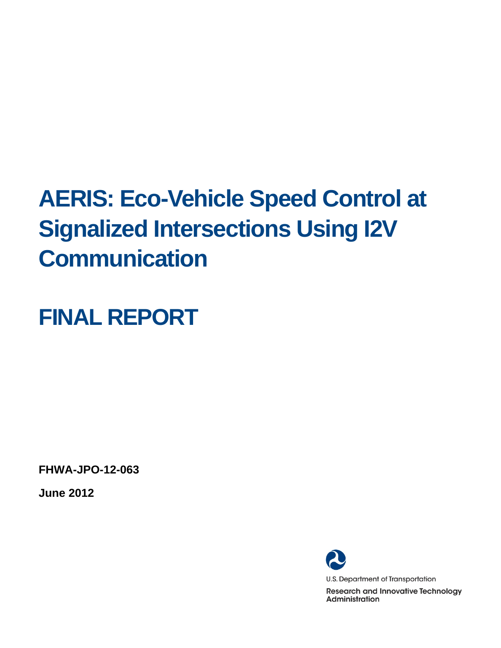# **AERIS: Eco-Vehicle Speed Control at Signalized Intersections Using I2V Communication**

# **FINAL REPORT**

**FHWA-JPO-12-063** 

**June 2012** 

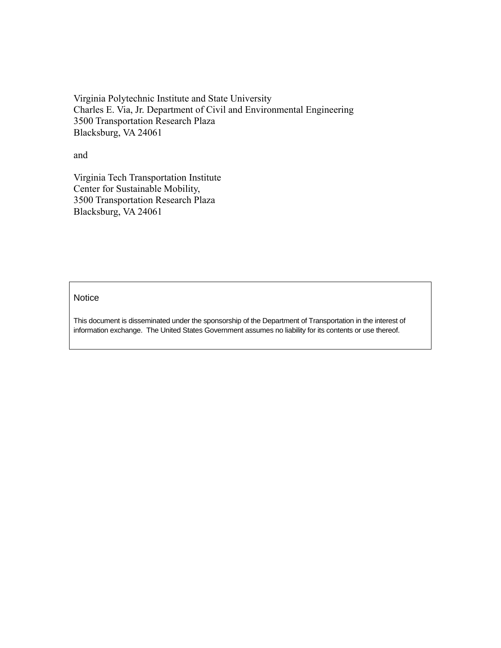Virginia Polytechnic Institute and State University Charles E. Via, Jr. Department of Civil and Environmental Engineering 3500 Transportation Research Plaza Blacksburg, VA 24061

and

Virginia Tech Transportation Institute Center for Sustainable Mobility, 3500 Transportation Research Plaza Blacksburg, VA 24061

#### **Notice**

This document is disseminated under the sponsorship of the Department of Transportation in the interest of information exchange. The United States Government assumes no liability for its contents or use thereof.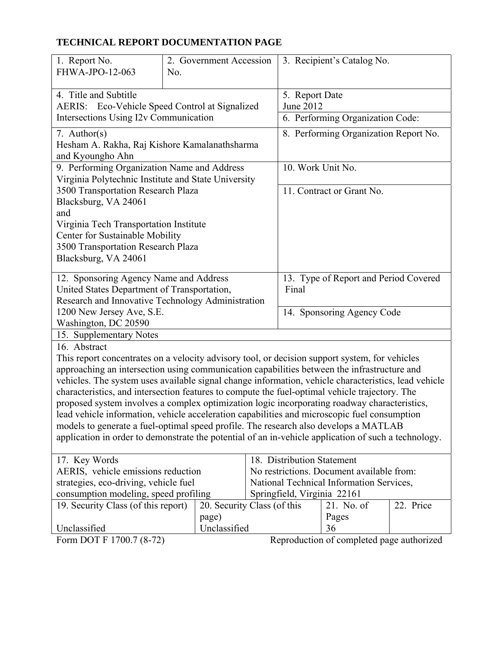#### $\overline{a}$ **TECHNICAL REPORT DOCUMENTATION PAGE**

| 1. Report No.<br>FHWA-JPO-12-063                                                                                                                                                                                                                                                                                                                                                                                                                                                                                                                                                                                                                                                                                                                                                                                        | No. | 2. Government Accession     |                                    | 3. Recipient's Catalog No.                |           |
|-------------------------------------------------------------------------------------------------------------------------------------------------------------------------------------------------------------------------------------------------------------------------------------------------------------------------------------------------------------------------------------------------------------------------------------------------------------------------------------------------------------------------------------------------------------------------------------------------------------------------------------------------------------------------------------------------------------------------------------------------------------------------------------------------------------------------|-----|-----------------------------|------------------------------------|-------------------------------------------|-----------|
| 4. Title and Subtitle<br>AERIS: Eco-Vehicle Speed Control at Signalized                                                                                                                                                                                                                                                                                                                                                                                                                                                                                                                                                                                                                                                                                                                                                 |     |                             | 5. Report Date<br><b>June 2012</b> |                                           |           |
| Intersections Using I2v Communication                                                                                                                                                                                                                                                                                                                                                                                                                                                                                                                                                                                                                                                                                                                                                                                   |     |                             |                                    | 6. Performing Organization Code:          |           |
| 7. Author(s)<br>Hesham A. Rakha, Raj Kishore Kamalanathsharma<br>and Kyoungho Ahn                                                                                                                                                                                                                                                                                                                                                                                                                                                                                                                                                                                                                                                                                                                                       |     |                             |                                    | 8. Performing Organization Report No.     |           |
| 9. Performing Organization Name and Address<br>Virginia Polytechnic Institute and State University                                                                                                                                                                                                                                                                                                                                                                                                                                                                                                                                                                                                                                                                                                                      |     |                             | 10. Work Unit No.                  |                                           |           |
| 3500 Transportation Research Plaza<br>Blacksburg, VA 24061<br>and<br>Virginia Tech Transportation Institute<br>Center for Sustainable Mobility<br>3500 Transportation Research Plaza<br>Blacksburg, VA 24061                                                                                                                                                                                                                                                                                                                                                                                                                                                                                                                                                                                                            |     |                             |                                    | 11. Contract or Grant No.                 |           |
| 12. Sponsoring Agency Name and Address<br>United States Department of Transportation,<br>Research and Innovative Technology Administration                                                                                                                                                                                                                                                                                                                                                                                                                                                                                                                                                                                                                                                                              |     |                             | Final                              | 13. Type of Report and Period Covered     |           |
| 1200 New Jersey Ave, S.E.<br>Washington, DC 20590                                                                                                                                                                                                                                                                                                                                                                                                                                                                                                                                                                                                                                                                                                                                                                       |     |                             |                                    | 14. Sponsoring Agency Code                |           |
| 15. Supplementary Notes                                                                                                                                                                                                                                                                                                                                                                                                                                                                                                                                                                                                                                                                                                                                                                                                 |     |                             |                                    |                                           |           |
| 16. Abstract<br>This report concentrates on a velocity advisory tool, or decision support system, for vehicles<br>approaching an intersection using communication capabilities between the infrastructure and<br>vehicles. The system uses available signal change information, vehicle characteristics, lead vehicle<br>characteristics, and intersection features to compute the fuel-optimal vehicle trajectory. The<br>proposed system involves a complex optimization logic incorporating roadway characteristics,<br>lead vehicle information, vehicle acceleration capabilities and microscopic fuel consumption<br>models to generate a fuel-optimal speed profile. The research also develops a MATLAB<br>application in order to demonstrate the potential of an in-vehicle application of such a technology. |     |                             |                                    |                                           |           |
| 17. Key Words                                                                                                                                                                                                                                                                                                                                                                                                                                                                                                                                                                                                                                                                                                                                                                                                           |     |                             | 18. Distribution Statement         |                                           |           |
| AERIS, vehicle emissions reduction                                                                                                                                                                                                                                                                                                                                                                                                                                                                                                                                                                                                                                                                                                                                                                                      |     |                             |                                    | No restrictions. Document available from: |           |
| strategies, eco-driving, vehicle fuel<br>consumption modeling, speed profiling                                                                                                                                                                                                                                                                                                                                                                                                                                                                                                                                                                                                                                                                                                                                          |     |                             | Springfield, Virginia 22161        | National Technical Information Services,  |           |
| 19. Security Class (of this report)                                                                                                                                                                                                                                                                                                                                                                                                                                                                                                                                                                                                                                                                                                                                                                                     |     | 20. Security Class (of this |                                    | 21. No. of                                | 22. Price |
|                                                                                                                                                                                                                                                                                                                                                                                                                                                                                                                                                                                                                                                                                                                                                                                                                         |     | page)                       |                                    | Pages                                     |           |
| Unclassified                                                                                                                                                                                                                                                                                                                                                                                                                                                                                                                                                                                                                                                                                                                                                                                                            |     | Unclassified                |                                    | 36                                        |           |
| Form DOT F 1700.7 (8-72)                                                                                                                                                                                                                                                                                                                                                                                                                                                                                                                                                                                                                                                                                                                                                                                                |     |                             |                                    | Reproduction of completed page authorized |           |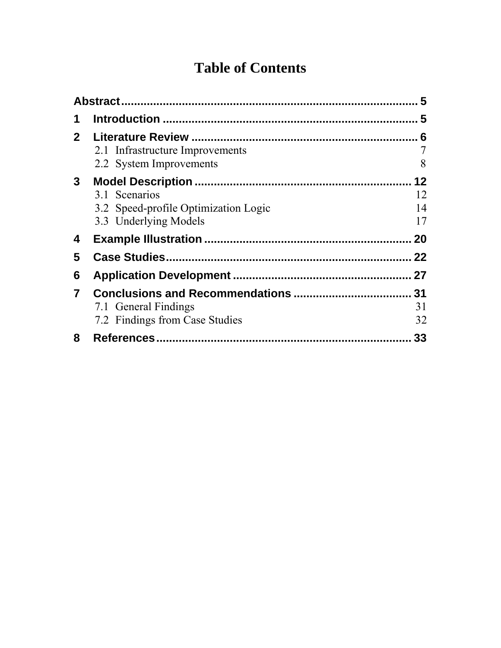# **Table of Contents**

|                         |                                                                                | 5                    |
|-------------------------|--------------------------------------------------------------------------------|----------------------|
| 1                       |                                                                                |                      |
| $\mathbf{2}$            | 2.1 Infrastructure Improvements<br>2.2 System Improvements                     | 7<br>8               |
| $3^{\circ}$             | 3.1 Scenarios<br>3.2 Speed-profile Optimization Logic<br>3.3 Underlying Models | 12<br>12<br>14<br>17 |
| 4                       |                                                                                | 20                   |
| 5                       |                                                                                | 22                   |
| 6                       |                                                                                |                      |
| $\overline{\mathbf{7}}$ | 7.1 General Findings<br>7.2 Findings from Case Studies                         | 31<br>31<br>32       |
| 8                       |                                                                                | 33                   |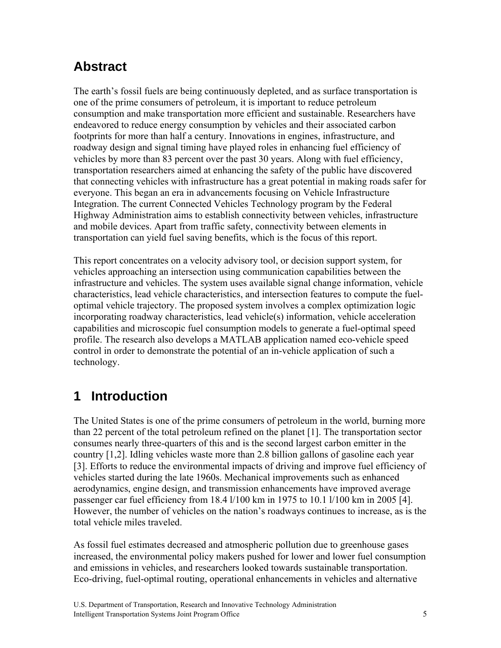# **Abstract**

The earth's fossil fuels are being continuously depleted, and as surface transportation is one of the prime consumers of petroleum, it is important to reduce petroleum consumption and make transportation more efficient and sustainable. Researchers have endeavored to reduce energy consumption by vehicles and their associated carbon footprints for more than half a century. Innovations in engines, infrastructure, and roadway design and signal timing have played roles in enhancing fuel efficiency of vehicles by more than 83 percent over the past 30 years. Along with fuel efficiency, transportation researchers aimed at enhancing the safety of the public have discovered that connecting vehicles with infrastructure has a great potential in making roads safer for everyone. This began an era in advancements focusing on Vehicle Infrastructure Integration. The current Connected Vehicles Technology program by the Federal Highway Administration aims to establish connectivity between vehicles, infrastructure and mobile devices. Apart from traffic safety, connectivity between elements in transportation can yield fuel saving benefits, which is the focus of this report.

This report concentrates on a velocity advisory tool, or decision support system, for vehicles approaching an intersection using communication capabilities between the infrastructure and vehicles. The system uses available signal change information, vehicle characteristics, lead vehicle characteristics, and intersection features to compute the fueloptimal vehicle trajectory. The proposed system involves a complex optimization logic incorporating roadway characteristics, lead vehicle(s) information, vehicle acceleration capabilities and microscopic fuel consumption models to generate a fuel-optimal speed profile. The research also develops a MATLAB application named eco-vehicle speed control in order to demonstrate the potential of an in-vehicle application of such a technology.

# **1 Introduction**

The United States is one of the prime consumers of petroleum in the world, burning more than 22 percent of the total petroleum refined on the planet [1]. The transportation sector consumes nearly three-quarters of this and is the second largest carbon emitter in the country [1,2]. Idling vehicles waste more than 2.8 billion gallons of gasoline each year [3]. Efforts to reduce the environmental impacts of driving and improve fuel efficiency of vehicles started during the late 1960s. Mechanical improvements such as enhanced aerodynamics, engine design, and transmission enhancements have improved average passenger car fuel efficiency from 18.4 l/100 km in 1975 to 10.1 l/100 km in 2005 [4]. However, the number of vehicles on the nation's roadways continues to increase, as is the total vehicle miles traveled.

As fossil fuel estimates decreased and atmospheric pollution due to greenhouse gases increased, the environmental policy makers pushed for lower and lower fuel consumption and emissions in vehicles, and researchers looked towards sustainable transportation. Eco-driving, fuel-optimal routing, operational enhancements in vehicles and alternative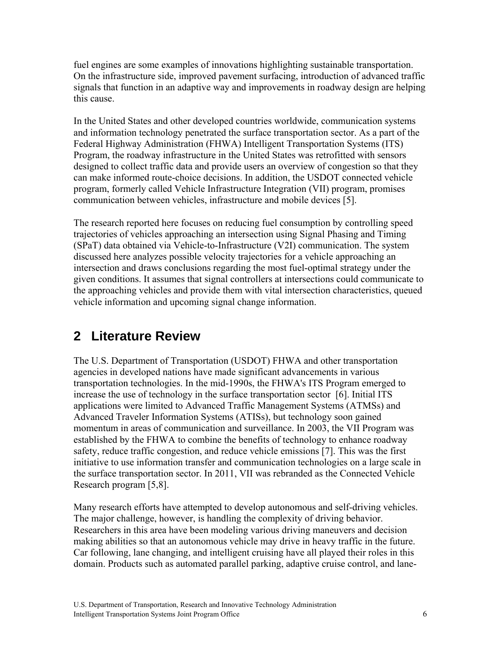fuel engines are some examples of innovations highlighting sustainable transportation. On the infrastructure side, improved pavement surfacing, introduction of advanced traffic signals that function in an adaptive way and improvements in roadway design are helping this cause.

In the United States and other developed countries worldwide, communication systems and information technology penetrated the surface transportation sector. As a part of the Federal Highway Administration (FHWA) Intelligent Transportation Systems (ITS) Program, the roadway infrastructure in the United States was retrofitted with sensors designed to collect traffic data and provide users an overview of congestion so that they can make informed route-choice decisions. In addition, the USDOT connected vehicle program, formerly called Vehicle Infrastructure Integration (VII) program, promises communication between vehicles, infrastructure and mobile devices [5].

The research reported here focuses on reducing fuel consumption by controlling speed trajectories of vehicles approaching an intersection using Signal Phasing and Timing (SPaT) data obtained via Vehicle-to-Infrastructure (V2I) communication. The system discussed here analyzes possible velocity trajectories for a vehicle approaching an intersection and draws conclusions regarding the most fuel-optimal strategy under the given conditions. It assumes that signal controllers at intersections could communicate to the approaching vehicles and provide them with vital intersection characteristics, queued vehicle information and upcoming signal change information.

## **2 Literature Review**

The U.S. Department of Transportation (USDOT) FHWA and other transportation agencies in developed nations have made significant advancements in various transportation technologies. In the mid-1990s, the FHWA's ITS Program emerged to increase the use of technology in the surface transportation sector [6]. Initial ITS applications were limited to Advanced Traffic Management Systems (ATMSs) and Advanced Traveler Information Systems (ATISs), but technology soon gained momentum in areas of communication and surveillance. In 2003, the VII Program was established by the FHWA to combine the benefits of technology to enhance roadway safety, reduce traffic congestion, and reduce vehicle emissions [7]. This was the first initiative to use information transfer and communication technologies on a large scale in the surface transportation sector. In 2011, VII was rebranded as the Connected Vehicle Research program [5,8].

Many research efforts have attempted to develop autonomous and self-driving vehicles. The major challenge, however, is handling the complexity of driving behavior. Researchers in this area have been modeling various driving maneuvers and decision making abilities so that an autonomous vehicle may drive in heavy traffic in the future. Car following, lane changing, and intelligent cruising have all played their roles in this domain. Products such as automated parallel parking, adaptive cruise control, and lane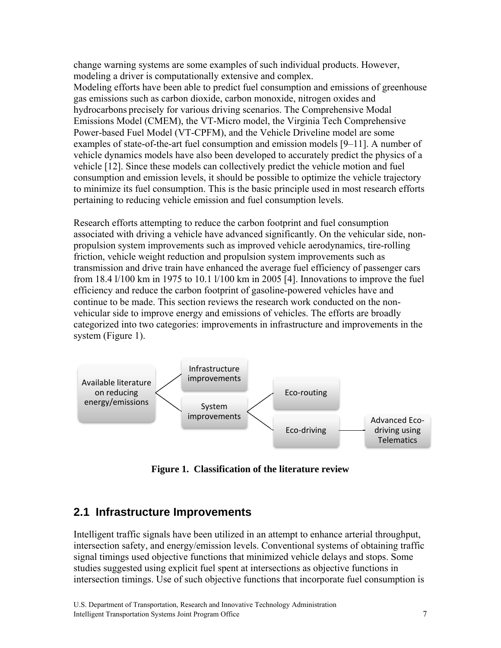change warning systems are some examples of such individual products. However, modeling a driver is computationally extensive and complex.

Modeling efforts have been able to predict fuel consumption and emissions of greenhouse gas emissions such as carbon dioxide, carbon monoxide, nitrogen oxides and hydrocarbons precisely for various driving scenarios. The Comprehensive Modal Emissions Model (CMEM), the VT-Micro model, the Virginia Tech Comprehensive Power-based Fuel Model (VT-CPFM), and the Vehicle Driveline model are some examples of state-of-the-art fuel consumption and emission models [9–11]. A number of vehicle dynamics models have also been developed to accurately predict the physics of a vehicle [12]. Since these models can collectively predict the vehicle motion and fuel consumption and emission levels, it should be possible to optimize the vehicle trajectory to minimize its fuel consumption. This is the basic principle used in most research efforts pertaining to reducing vehicle emission and fuel consumption levels.

Research efforts attempting to reduce the carbon footprint and fuel consumption associated with driving a vehicle have advanced significantly. On the vehicular side, nonpropulsion system improvements such as improved vehicle aerodynamics, tire-rolling friction, vehicle weight reduction and propulsion system improvements such as transmission and drive train have enhanced the average fuel efficiency of passenger cars from 18.4 l/100 km in 1975 to 10.1 l/100 km in 2005 [4]. Innovations to improve the fuel efficiency and reduce the carbon footprint of gasoline-powered vehicles have and continue to be made. This section reviews the research work conducted on the nonvehicular side to improve energy and emissions of vehicles. The efforts are broadly categorized into two categories: improvements in infrastructure and improvements in the system (Figure 1).



**Figure 1. Classification of the literature review** 

## **2.1 Infrastructure Improvements**

Intelligent traffic signals have been utilized in an attempt to enhance arterial throughput, intersection safety, and energy/emission levels. Conventional systems of obtaining traffic signal timings used objective functions that minimized vehicle delays and stops. Some studies suggested using explicit fuel spent at intersections as objective functions in intersection timings. Use of such objective functions that incorporate fuel consumption is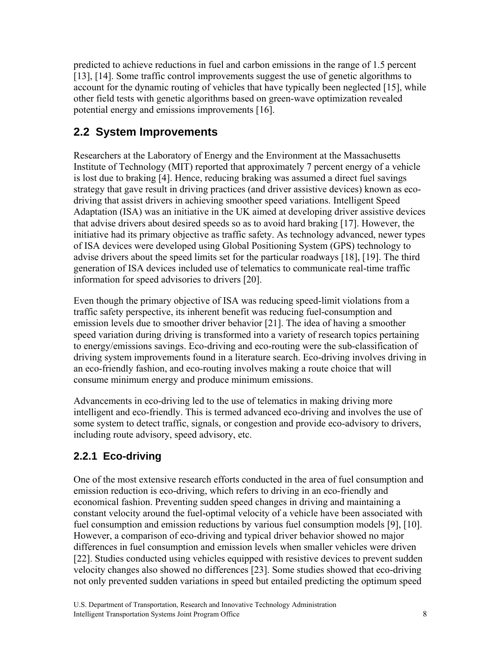predicted to achieve reductions in fuel and carbon emissions in the range of 1.5 percent [13], [14]. Some traffic control improvements suggest the use of genetic algorithms to account for the dynamic routing of vehicles that have typically been neglected [15], while other field tests with genetic algorithms based on green-wave optimization revealed potential energy and emissions improvements [16].

## **2.2 System Improvements**

Researchers at the Laboratory of Energy and the Environment at the Massachusetts Institute of Technology (MIT) reported that approximately 7 percent energy of a vehicle is lost due to braking [4]. Hence, reducing braking was assumed a direct fuel savings strategy that gave result in driving practices (and driver assistive devices) known as ecodriving that assist drivers in achieving smoother speed variations. Intelligent Speed Adaptation (ISA) was an initiative in the UK aimed at developing driver assistive devices that advise drivers about desired speeds so as to avoid hard braking [17]. However, the initiative had its primary objective as traffic safety. As technology advanced, newer types of ISA devices were developed using Global Positioning System (GPS) technology to advise drivers about the speed limits set for the particular roadways [18], [19]. The third generation of ISA devices included use of telematics to communicate real-time traffic information for speed advisories to drivers [20].

Even though the primary objective of ISA was reducing speed-limit violations from a traffic safety perspective, its inherent benefit was reducing fuel-consumption and emission levels due to smoother driver behavior [21]. The idea of having a smoother speed variation during driving is transformed into a variety of research topics pertaining to energy/emissions savings. Eco-driving and eco-routing were the sub-classification of driving system improvements found in a literature search. Eco-driving involves driving in an eco-friendly fashion, and eco-routing involves making a route choice that will consume minimum energy and produce minimum emissions.

Advancements in eco-driving led to the use of telematics in making driving more intelligent and eco-friendly. This is termed advanced eco-driving and involves the use of some system to detect traffic, signals, or congestion and provide eco-advisory to drivers, including route advisory, speed advisory, etc.

## **2.2.1 Eco-driving**

One of the most extensive research efforts conducted in the area of fuel consumption and emission reduction is eco-driving, which refers to driving in an eco-friendly and economical fashion. Preventing sudden speed changes in driving and maintaining a constant velocity around the fuel-optimal velocity of a vehicle have been associated with fuel consumption and emission reductions by various fuel consumption models [9], [10]. However, a comparison of eco-driving and typical driver behavior showed no major differences in fuel consumption and emission levels when smaller vehicles were driven [22]. Studies conducted using vehicles equipped with resistive devices to prevent sudden velocity changes also showed no differences [23]. Some studies showed that eco-driving not only prevented sudden variations in speed but entailed predicting the optimum speed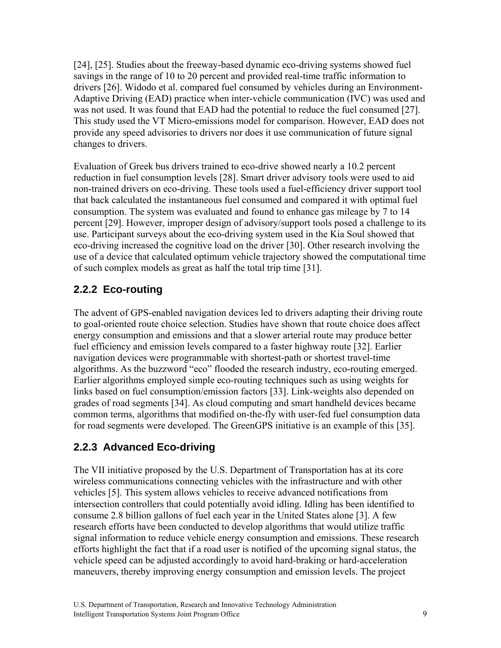[24], [25]. Studies about the freeway-based dynamic eco-driving systems showed fuel savings in the range of 10 to 20 percent and provided real-time traffic information to drivers [26]. Widodo et al. compared fuel consumed by vehicles during an Environment-Adaptive Driving (EAD) practice when inter-vehicle communication (IVC) was used and was not used. It was found that EAD had the potential to reduce the fuel consumed [27]. This study used the VT Micro-emissions model for comparison. However, EAD does not provide any speed advisories to drivers nor does it use communication of future signal changes to drivers.

Evaluation of Greek bus drivers trained to eco-drive showed nearly a 10.2 percent reduction in fuel consumption levels [28]. Smart driver advisory tools were used to aid non-trained drivers on eco-driving. These tools used a fuel-efficiency driver support tool that back calculated the instantaneous fuel consumed and compared it with optimal fuel consumption. The system was evaluated and found to enhance gas mileage by 7 to 14 percent [29]. However, improper design of advisory/support tools posed a challenge to its use. Participant surveys about the eco-driving system used in the Kia Soul showed that eco-driving increased the cognitive load on the driver [30]. Other research involving the use of a device that calculated optimum vehicle trajectory showed the computational time of such complex models as great as half the total trip time [31].

## **2.2.2 Eco-routing**

The advent of GPS-enabled navigation devices led to drivers adapting their driving route to goal-oriented route choice selection. Studies have shown that route choice does affect energy consumption and emissions and that a slower arterial route may produce better fuel efficiency and emission levels compared to a faster highway route [32]. Earlier navigation devices were programmable with shortest-path or shortest travel-time algorithms. As the buzzword "eco" flooded the research industry, eco-routing emerged. Earlier algorithms employed simple eco-routing techniques such as using weights for links based on fuel consumption/emission factors [33]. Link-weights also depended on grades of road segments [34]. As cloud computing and smart handheld devices became common terms, algorithms that modified on-the-fly with user-fed fuel consumption data for road segments were developed. The GreenGPS initiative is an example of this [35].

## **2.2.3 Advanced Eco-driving**

The VII initiative proposed by the U.S. Department of Transportation has at its core wireless communications connecting vehicles with the infrastructure and with other vehicles [5]. This system allows vehicles to receive advanced notifications from intersection controllers that could potentially avoid idling. Idling has been identified to consume 2.8 billion gallons of fuel each year in the United States alone [3]. A few research efforts have been conducted to develop algorithms that would utilize traffic signal information to reduce vehicle energy consumption and emissions. These research efforts highlight the fact that if a road user is notified of the upcoming signal status, the vehicle speed can be adjusted accordingly to avoid hard-braking or hard-acceleration maneuvers, thereby improving energy consumption and emission levels. The project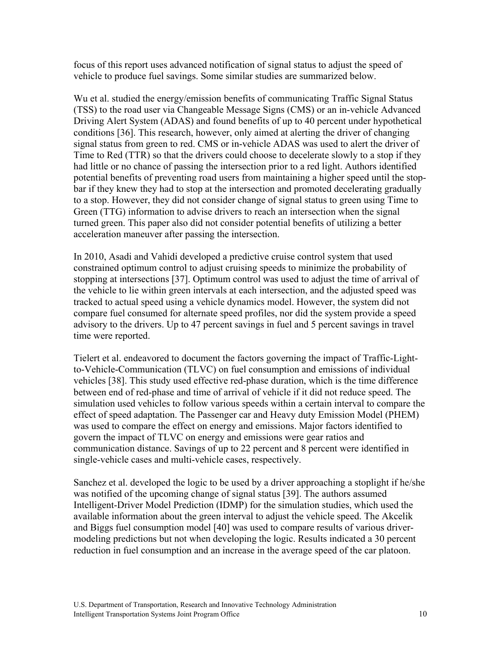focus of this report uses advanced notification of signal status to adjust the speed of vehicle to produce fuel savings. Some similar studies are summarized below.

Wu et al. studied the energy/emission benefits of communicating Traffic Signal Status (TSS) to the road user via Changeable Message Signs (CMS) or an in-vehicle Advanced Driving Alert System (ADAS) and found benefits of up to 40 percent under hypothetical conditions [36]. This research, however, only aimed at alerting the driver of changing signal status from green to red. CMS or in-vehicle ADAS was used to alert the driver of Time to Red (TTR) so that the drivers could choose to decelerate slowly to a stop if they had little or no chance of passing the intersection prior to a red light. Authors identified potential benefits of preventing road users from maintaining a higher speed until the stopbar if they knew they had to stop at the intersection and promoted decelerating gradually to a stop. However, they did not consider change of signal status to green using Time to Green (TTG) information to advise drivers to reach an intersection when the signal turned green. This paper also did not consider potential benefits of utilizing a better acceleration maneuver after passing the intersection.

In 2010, Asadi and Vahidi developed a predictive cruise control system that used constrained optimum control to adjust cruising speeds to minimize the probability of stopping at intersections [37]. Optimum control was used to adjust the time of arrival of the vehicle to lie within green intervals at each intersection, and the adjusted speed was tracked to actual speed using a vehicle dynamics model. However, the system did not compare fuel consumed for alternate speed profiles, nor did the system provide a speed advisory to the drivers. Up to 47 percent savings in fuel and 5 percent savings in travel time were reported.

Tielert et al. endeavored to document the factors governing the impact of Traffic-Lightto-Vehicle-Communication (TLVC) on fuel consumption and emissions of individual vehicles [38]. This study used effective red-phase duration, which is the time difference between end of red-phase and time of arrival of vehicle if it did not reduce speed. The simulation used vehicles to follow various speeds within a certain interval to compare the effect of speed adaptation. The Passenger car and Heavy duty Emission Model (PHEM) was used to compare the effect on energy and emissions. Major factors identified to govern the impact of TLVC on energy and emissions were gear ratios and communication distance. Savings of up to 22 percent and 8 percent were identified in single-vehicle cases and multi-vehicle cases, respectively.

Sanchez et al. developed the logic to be used by a driver approaching a stoplight if he/she was notified of the upcoming change of signal status [39]. The authors assumed Intelligent-Driver Model Prediction (IDMP) for the simulation studies, which used the available information about the green interval to adjust the vehicle speed. The Akcelik and Biggs fuel consumption model [40] was used to compare results of various drivermodeling predictions but not when developing the logic. Results indicated a 30 percent reduction in fuel consumption and an increase in the average speed of the car platoon.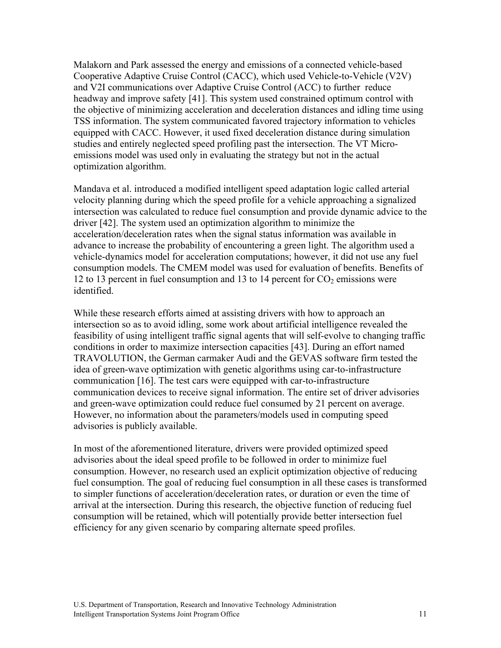Malakorn and Park assessed the energy and emissions of a connected vehicle-based Cooperative Adaptive Cruise Control (CACC), which used Vehicle-to-Vehicle (V2V) and V2I communications over Adaptive Cruise Control (ACC) to further reduce headway and improve safety [41]. This system used constrained optimum control with the objective of minimizing acceleration and deceleration distances and idling time using TSS information. The system communicated favored trajectory information to vehicles equipped with CACC. However, it used fixed deceleration distance during simulation studies and entirely neglected speed profiling past the intersection. The VT Microemissions model was used only in evaluating the strategy but not in the actual optimization algorithm.

Mandava et al. introduced a modified intelligent speed adaptation logic called arterial velocity planning during which the speed profile for a vehicle approaching a signalized intersection was calculated to reduce fuel consumption and provide dynamic advice to the driver [42]. The system used an optimization algorithm to minimize the acceleration/deceleration rates when the signal status information was available in advance to increase the probability of encountering a green light. The algorithm used a vehicle-dynamics model for acceleration computations; however, it did not use any fuel consumption models. The CMEM model was used for evaluation of benefits. Benefits of 12 to 13 percent in fuel consumption and 13 to 14 percent for  $CO<sub>2</sub>$  emissions were identified.

While these research efforts aimed at assisting drivers with how to approach an intersection so as to avoid idling, some work about artificial intelligence revealed the feasibility of using intelligent traffic signal agents that will self-evolve to changing traffic conditions in order to maximize intersection capacities [43]. During an effort named TRAVOLUTION, the German carmaker Audi and the GEVAS software firm tested the idea of green-wave optimization with genetic algorithms using car-to-infrastructure communication [16]. The test cars were equipped with car-to-infrastructure communication devices to receive signal information. The entire set of driver advisories and green-wave optimization could reduce fuel consumed by 21 percent on average. However, no information about the parameters/models used in computing speed advisories is publicly available.

In most of the aforementioned literature, drivers were provided optimized speed advisories about the ideal speed profile to be followed in order to minimize fuel consumption. However, no research used an explicit optimization objective of reducing fuel consumption. The goal of reducing fuel consumption in all these cases is transformed to simpler functions of acceleration/deceleration rates, or duration or even the time of arrival at the intersection. During this research, the objective function of reducing fuel consumption will be retained, which will potentially provide better intersection fuel efficiency for any given scenario by comparing alternate speed profiles.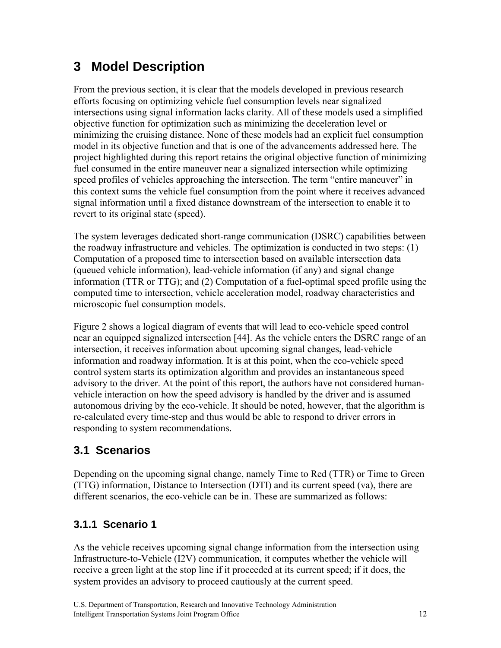# **3 Model Description**

From the previous section, it is clear that the models developed in previous research efforts focusing on optimizing vehicle fuel consumption levels near signalized intersections using signal information lacks clarity. All of these models used a simplified objective function for optimization such as minimizing the deceleration level or minimizing the cruising distance. None of these models had an explicit fuel consumption model in its objective function and that is one of the advancements addressed here. The project highlighted during this report retains the original objective function of minimizing fuel consumed in the entire maneuver near a signalized intersection while optimizing speed profiles of vehicles approaching the intersection. The term "entire maneuver" in this context sums the vehicle fuel consumption from the point where it receives advanced signal information until a fixed distance downstream of the intersection to enable it to revert to its original state (speed).

The system leverages dedicated short-range communication (DSRC) capabilities between the roadway infrastructure and vehicles. The optimization is conducted in two steps: (1) Computation of a proposed time to intersection based on available intersection data (queued vehicle information), lead-vehicle information (if any) and signal change information (TTR or TTG); and (2) Computation of a fuel-optimal speed profile using the computed time to intersection, vehicle acceleration model, roadway characteristics and microscopic fuel consumption models.

Figure 2 shows a logical diagram of events that will lead to eco-vehicle speed control near an equipped signalized intersection [44]. As the vehicle enters the DSRC range of an intersection, it receives information about upcoming signal changes, lead-vehicle information and roadway information. It is at this point, when the eco-vehicle speed control system starts its optimization algorithm and provides an instantaneous speed advisory to the driver. At the point of this report, the authors have not considered humanvehicle interaction on how the speed advisory is handled by the driver and is assumed autonomous driving by the eco-vehicle. It should be noted, however, that the algorithm is re-calculated every time-step and thus would be able to respond to driver errors in responding to system recommendations.

## **3.1 Scenarios**

Depending on the upcoming signal change, namely Time to Red (TTR) or Time to Green (TTG) information, Distance to Intersection (DTI) and its current speed (va), there are different scenarios, the eco-vehicle can be in. These are summarized as follows:

## **3.1.1 Scenario 1**

As the vehicle receives upcoming signal change information from the intersection using Infrastructure-to-Vehicle (I2V) communication, it computes whether the vehicle will receive a green light at the stop line if it proceeded at its current speed; if it does, the system provides an advisory to proceed cautiously at the current speed.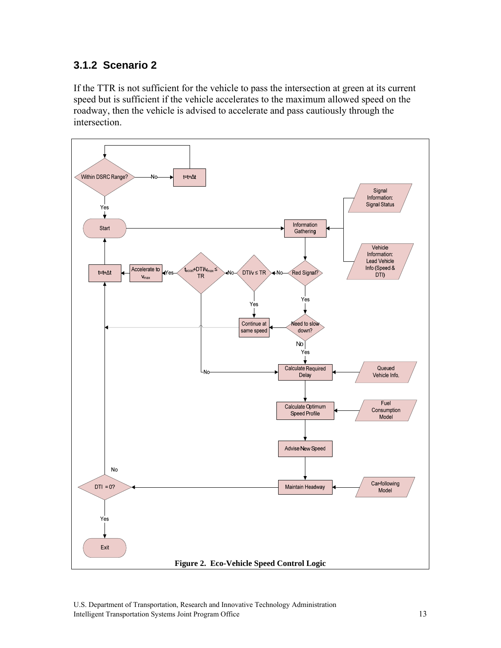## **3.1.2 Scenario 2**

If the TTR is not sufficient for the vehicle to pass the intersection at green at its current speed but is sufficient if the vehicle accelerates to the maximum allowed speed on the roadway, then the vehicle is advised to accelerate and pass cautiously through the intersection.



U.S. Department of Transportation, Research and Innovative Technology Administration Intelligent Transportation Systems Joint Program Office 13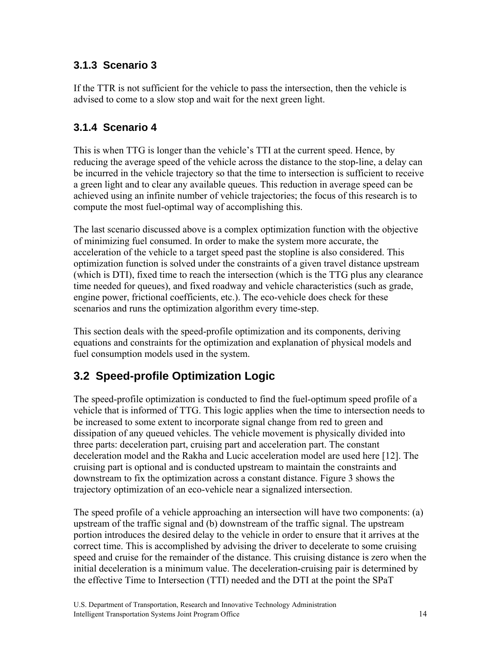## **3.1.3 Scenario 3**

If the TTR is not sufficient for the vehicle to pass the intersection, then the vehicle is advised to come to a slow stop and wait for the next green light.

## **3.1.4 Scenario 4**

This is when TTG is longer than the vehicle's TTI at the current speed. Hence, by reducing the average speed of the vehicle across the distance to the stop-line, a delay can be incurred in the vehicle trajectory so that the time to intersection is sufficient to receive a green light and to clear any available queues. This reduction in average speed can be achieved using an infinite number of vehicle trajectories; the focus of this research is to compute the most fuel-optimal way of accomplishing this.

The last scenario discussed above is a complex optimization function with the objective of minimizing fuel consumed. In order to make the system more accurate, the acceleration of the vehicle to a target speed past the stopline is also considered. This optimization function is solved under the constraints of a given travel distance upstream (which is DTI), fixed time to reach the intersection (which is the TTG plus any clearance time needed for queues), and fixed roadway and vehicle characteristics (such as grade, engine power, frictional coefficients, etc.). The eco-vehicle does check for these scenarios and runs the optimization algorithm every time-step.

This section deals with the speed-profile optimization and its components, deriving equations and constraints for the optimization and explanation of physical models and fuel consumption models used in the system.

## **3.2 Speed-profile Optimization Logic**

The speed-profile optimization is conducted to find the fuel-optimum speed profile of a vehicle that is informed of TTG. This logic applies when the time to intersection needs to be increased to some extent to incorporate signal change from red to green and dissipation of any queued vehicles. The vehicle movement is physically divided into three parts: deceleration part, cruising part and acceleration part. The constant deceleration model and the Rakha and Lucic acceleration model are used here [12]. The cruising part is optional and is conducted upstream to maintain the constraints and downstream to fix the optimization across a constant distance. Figure 3 shows the trajectory optimization of an eco-vehicle near a signalized intersection.

The speed profile of a vehicle approaching an intersection will have two components: (a) upstream of the traffic signal and (b) downstream of the traffic signal. The upstream portion introduces the desired delay to the vehicle in order to ensure that it arrives at the correct time. This is accomplished by advising the driver to decelerate to some cruising speed and cruise for the remainder of the distance. This cruising distance is zero when the initial deceleration is a minimum value. The deceleration-cruising pair is determined by the effective Time to Intersection (TTI) needed and the DTI at the point the SPaT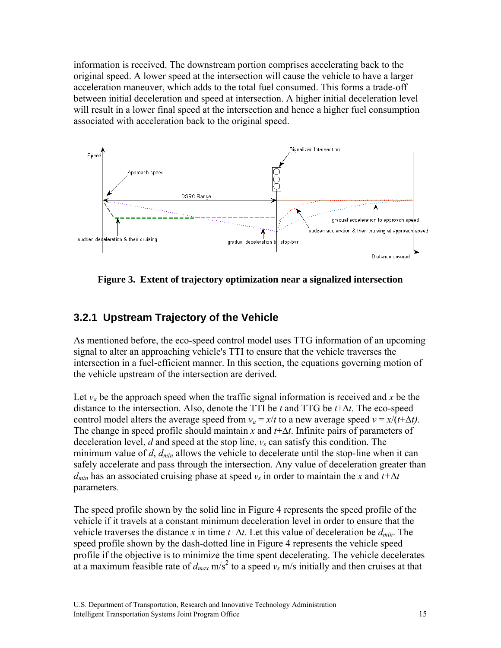information is received. The downstream portion comprises accelerating back to the original speed. A lower speed at the intersection will cause the vehicle to have a larger acceleration maneuver, which adds to the total fuel consumed. This forms a trade-off between initial deceleration and speed at intersection. A higher initial deceleration level will result in a lower final speed at the intersection and hence a higher fuel consumption associated with acceleration back to the original speed.



**Figure 3. Extent of trajectory optimization near a signalized intersection** 

## **3.2.1 Upstream Trajectory of the Vehicle**

As mentioned before, the eco-speed control model uses TTG information of an upcoming signal to alter an approaching vehicle's TTI to ensure that the vehicle traverses the intersection in a fuel-efficient manner. In this section, the equations governing motion of the vehicle upstream of the intersection are derived.

Let  $v_a$  be the approach speed when the traffic signal information is received and x be the distance to the intersection. Also, denote the TTI be *t* and TTG be *t*+∆*t*. The eco-speed control model alters the average speed from  $v_a = x/t$  to a new average speed  $v = x/(t+\Delta t)$ . The change in speed profile should maintain *x* and *t*+∆*t*. Infinite pairs of parameters of deceleration level, *d* and speed at the stop line, *vs* can satisfy this condition. The minimum value of *d*, *dmin* allows the vehicle to decelerate until the stop-line when it can safely accelerate and pass through the intersection. Any value of deceleration greater than  $d_{min}$  has an associated cruising phase at speed  $v_s$  in order to maintain the *x* and  $t + \Delta t$ parameters.

The speed profile shown by the solid line in Figure 4 represents the speed profile of the vehicle if it travels at a constant minimum deceleration level in order to ensure that the vehicle traverses the distance *x* in time *t*+∆*t*. Let this value of deceleration be *dmin*. The speed profile shown by the dash-dotted line in Figure 4 represents the vehicle speed profile if the objective is to minimize the time spent decelerating. The vehicle decelerates at a maximum feasible rate of  $d_{max}$  m/s<sup>2</sup> to a speed  $v_s$  m/s initially and then cruises at that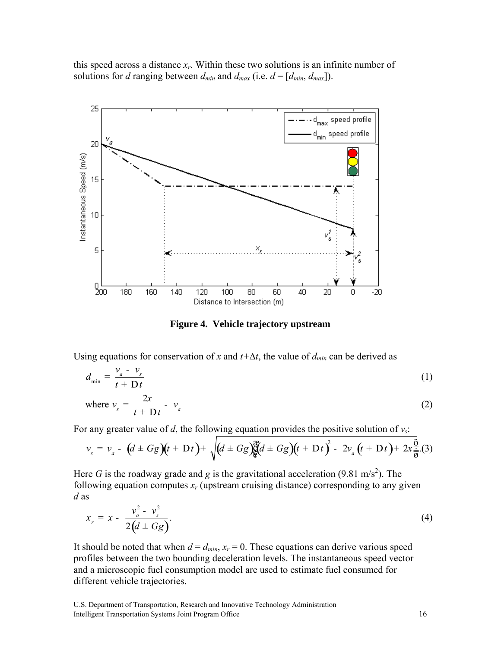this speed across a distance *xr*. Within these two solutions is an infinite number of solutions for *d* ranging between  $d_{min}$  and  $d_{max}$  (i.e.  $d = [d_{min}, d_{max}]$ ).



**Figure 4. Vehicle trajectory upstream** 

Using equations for conservation of *x* and  $t + \Delta t$ , the value of  $d_{min}$  can be derived as

$$
d_{\min} = \frac{v_a - v_s}{t + Dt} \tag{1}
$$

where 
$$
v_s = \frac{2x}{t + Dt} - v_a
$$
 (2)

For any greater value of *d*, the following equation provides the positive solution of  $v_s$ :

$$
v_s = v_a - (d \pm Gg)(t + Dt) + \sqrt{(d \pm Gg)(d \pm Gg)(t + Dt)^2 - 2v_a(t + Dt) + 2x \frac{\ddot{g}}{\dot{g}}(3)}
$$

Here *G* is the roadway grade and *g* is the gravitational acceleration (9.81 m/s<sup>2</sup>). The following equation computes  $x_r$  (upstream cruising distance) corresponding to any given *d* as

$$
x_r = x - \frac{v_a^2 - v_s^2}{2(d \pm Gg)}.
$$
 (4)

It should be noted that when  $d = d_{min}$ ,  $x_r = 0$ . These equations can derive various speed profiles between the two bounding deceleration levels. The instantaneous speed vector and a microscopic fuel consumption model are used to estimate fuel consumed for different vehicle trajectories.

U.S. Department of Transportation, Research and Innovative Technology Administration Intelligent Transportation Systems Joint Program Office 16 16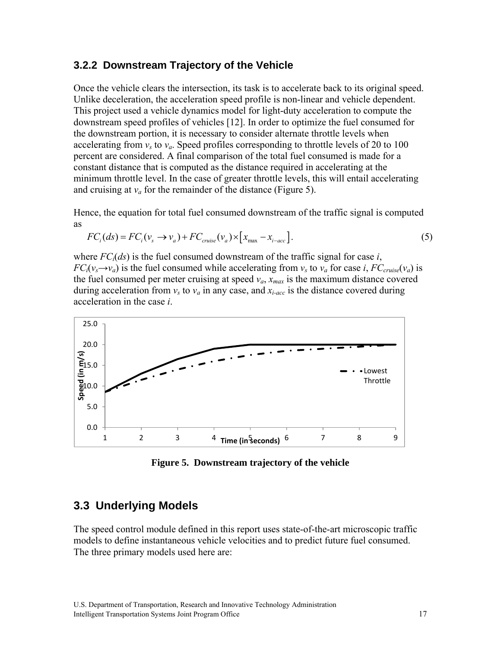#### **3.2.2 Downstream Trajectory of the Vehicle**

Once the vehicle clears the intersection, its task is to accelerate back to its original speed. Unlike deceleration, the acceleration speed profile is non-linear and vehicle dependent. This project used a vehicle dynamics model for light-duty acceleration to compute the downstream speed profiles of vehicles [12]. In order to optimize the fuel consumed for the downstream portion, it is necessary to consider alternate throttle levels when accelerating from  $v_s$  to  $v_a$ . Speed profiles corresponding to throttle levels of 20 to 100 percent are considered. A final comparison of the total fuel consumed is made for a constant distance that is computed as the distance required in accelerating at the minimum throttle level. In the case of greater throttle levels, this will entail accelerating and cruising at  $v_a$  for the remainder of the distance (Figure 5).

Hence, the equation for total fuel consumed downstream of the traffic signal is computed as

$$
FCi(ds) = FCi(vs \to va) + FCcruise(va) \times [xmax - xi-acc].
$$
\n(5)

where  $FC<sub>i</sub>(ds)$  is the fuel consumed downstream of the traffic signal for case *i*,  $FC_i(v_s \rightarrow v_a)$  is the fuel consumed while accelerating from  $v_s$  to  $v_a$  for case *i*,  $FC_{cruise}(v_a)$  is the fuel consumed per meter cruising at speed  $v_a$ ,  $x_{max}$  is the maximum distance covered during acceleration from  $v_s$  to  $v_a$  in any case, and  $x_i$ <sub>acc</sub> is the distance covered during acceleration in the case *i*.



**Figure 5. Downstream trajectory of the vehicle** 

### **3.3 Underlying Models**

The speed control module defined in this report uses state-of-the-art microscopic traffic models to define instantaneous vehicle velocities and to predict future fuel consumed. The three primary models used here are: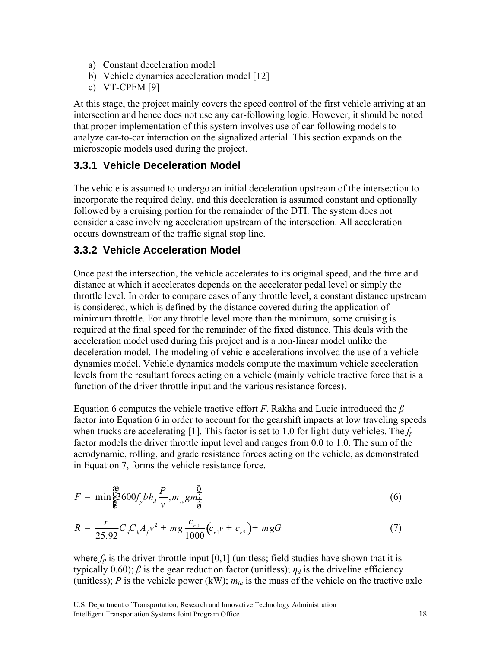- a) Constant deceleration model
- b) Vehicle dynamics acceleration model [12]
- c) VT-CPFM [9]

At this stage, the project mainly covers the speed control of the first vehicle arriving at an intersection and hence does not use any car-following logic. However, it should be noted that proper implementation of this system involves use of car-following models to analyze car-to-car interaction on the signalized arterial. This section expands on the microscopic models used during the project.

### **3.3.1 Vehicle Deceleration Model**

The vehicle is assumed to undergo an initial deceleration upstream of the intersection to incorporate the required delay, and this deceleration is assumed constant and optionally followed by a cruising portion for the remainder of the DTI. The system does not consider a case involving acceleration upstream of the intersection. All acceleration occurs downstream of the traffic signal stop line.

#### **3.3.2 Vehicle Acceleration Model**

Once past the intersection, the vehicle accelerates to its original speed, and the time and distance at which it accelerates depends on the accelerator pedal level or simply the throttle level. In order to compare cases of any throttle level, a constant distance upstream is considered, which is defined by the distance covered during the application of minimum throttle. For any throttle level more than the minimum, some cruising is required at the final speed for the remainder of the fixed distance. This deals with the acceleration model used during this project and is a non-linear model unlike the deceleration model. The modeling of vehicle accelerations involved the use of a vehicle dynamics model. Vehicle dynamics models compute the maximum vehicle acceleration levels from the resultant forces acting on a vehicle (mainly vehicle tractive force that is a function of the driver throttle input and the various resistance forces).

Equation 6 computes the vehicle tractive effort *F*. Rakha and Lucic introduced the *β* factor into Equation 6 in order to account for the gearshift impacts at low traveling speeds when trucks are accelerating [1]. This factor is set to 1.0 for light-duty vehicles. The *fp* factor models the driver throttle input level and ranges from 0.0 to 1.0. The sum of the aerodynamic, rolling, and grade resistance forces acting on the vehicle, as demonstrated in Equation 7, forms the vehicle resistance force.

$$
F = \min_{\mathbf{\hat{g}}} \mathbf{\hat{g}} 3600 f_p b h_d \frac{P}{v}, m_{ta} g m_{\frac{1}{\mathbf{\hat{g}}}} \tag{6}
$$

$$
R = \frac{r}{25.92} C_d C_h A_f v^2 + mg \frac{c_{r0}}{1000} (c_{r1} v + c_{r2}) + mgG
$$
 (7)

where  $f_p$  is the driver throttle input [0,1] (unitless; field studies have shown that it is typically 0.60); *β* is the gear reduction factor (unitless);  $η<sub>d</sub>$  is the driveline efficiency (unitless); *P* is the vehicle power (kW);  $m_{ta}$  is the mass of the vehicle on the tractive axle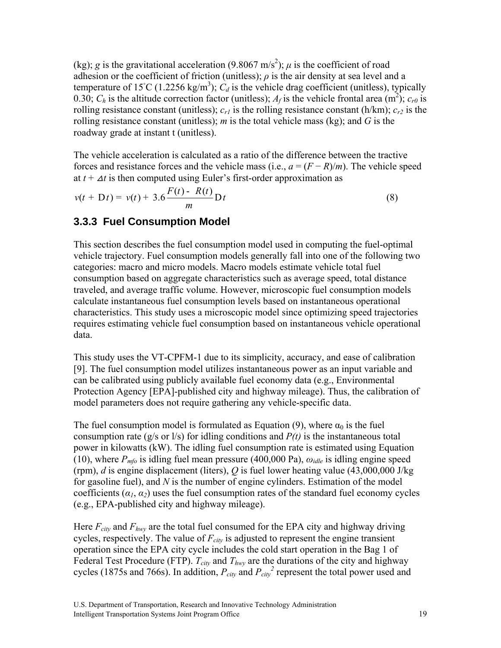(kg); *g* is the gravitational acceleration (9.8067 m/s<sup>2</sup>);  $\mu$  is the coefficient of road adhesion or the coefficient of friction (unitless);  $\rho$  is the air density at sea level and a temperature of 15°C (1.2256 kg/m<sup>3</sup>);  $C_d$  is the vehicle drag coefficient (unitless), typically 0.30;  $C_h$  is the altitude correction factor (unitless);  $A_f$  is the vehicle frontal area (m<sup>2</sup>);  $c_{r0}$  is rolling resistance constant (unitless);  $c_{r1}$  is the rolling resistance constant (h/km);  $c_{r2}$  is the rolling resistance constant (unitless); *m* is the total vehicle mass (kg); and *G* is the roadway grade at instant t (unitless).

The vehicle acceleration is calculated as a ratio of the difference between the tractive forces and resistance forces and the vehicle mass (i.e.,  $a = (F - R)/m$ ). The vehicle speed at  $t + \Delta t$  is then computed using Euler's first-order approximation as

$$
v(t + Dt) = v(t) + 3.6 \frac{F(t) - R(t)}{m} Dt
$$
 (8)

#### **3.3.3 Fuel Consumption Model**

This section describes the fuel consumption model used in computing the fuel-optimal vehicle trajectory. Fuel consumption models generally fall into one of the following two categories: macro and micro models. Macro models estimate vehicle total fuel consumption based on aggregate characteristics such as average speed, total distance traveled, and average traffic volume. However, microscopic fuel consumption models calculate instantaneous fuel consumption levels based on instantaneous operational characteristics. This study uses a microscopic model since optimizing speed trajectories requires estimating vehicle fuel consumption based on instantaneous vehicle operational data.

This study uses the VT-CPFM-1 due to its simplicity, accuracy, and ease of calibration [9]. The fuel consumption model utilizes instantaneous power as an input variable and can be calibrated using publicly available fuel economy data (e.g., Environmental Protection Agency [EPA]-published city and highway mileage). Thus, the calibration of model parameters does not require gathering any vehicle-specific data.

The fuel consumption model is formulated as Equation (9), where  $\alpha_0$  is the fuel consumption rate ( $g/s$  or  $l/s$ ) for idling conditions and  $P(t)$  is the instantaneous total power in kilowatts (kW). The idling fuel consumption rate is estimated using Equation (10), where  $P_{mfo}$  is idling fuel mean pressure (400,000 Pa),  $\omega_{idle}$  is idling engine speed (rpm), *d* is engine displacement (liters), *Q* is fuel lower heating value (43,000,000 J/kg for gasoline fuel), and *N* is the number of engine cylinders. Estimation of the model coefficients  $(a_1, a_2)$  uses the fuel consumption rates of the standard fuel economy cycles (e.g., EPA-published city and highway mileage).

Here  $F_{city}$  and  $F_{hwy}$  are the total fuel consumed for the EPA city and highway driving cycles, respectively. The value of  $F_{\text{city}}$  is adjusted to represent the engine transient operation since the EPA city cycle includes the cold start operation in the Bag 1 of Federal Test Procedure (FTP).  $T_{\text{city}}$  and  $T_{\text{hwy}}$  are the durations of the city and highway cycles (1875s and 766s). In addition,  $P_{\text{city}}$  and  $P_{\text{city}}^2$  represent the total power used and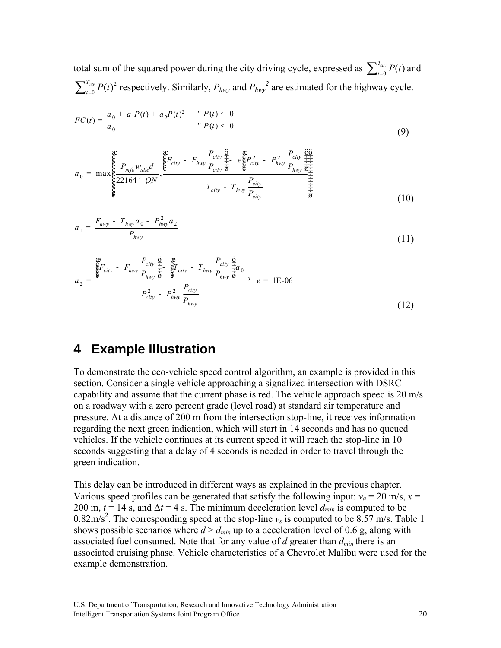total sum of the squared power during the city driving cycle, expressed as  $\sum_{t=0}^{T_{clip}} P(t)$  and  $\sum_{t=0}^{T_{city}} P(t)^2$  respectively. Similarly,  $P_{hwy}$  and  $P_{hwy}^2$  are estimated for the highway cycle.

$$
FC(t) = \frac{a_0 + a_1 P(t) + a_2 P(t)^2 \qquad P(t)^3 \quad 0}{a_0} \qquad P(t) < 0 \tag{9}
$$

2 2 <sup>0</sup> max , <sup>22164</sup> *city city city hwy city hwy mfo idle city hwy city city hwy city P P FF PP Pd P P QN P T T P e w a* æ æ ö æ öö çç ç ÷ ÷÷ - - <sup>ç</sup> è øè ø ÷ ÷÷÷ <sup>=</sup> <sup>ç</sup> <sup>÷</sup> <sup>ç</sup> <sup>÷</sup> <sup>ç</sup> ´ <sup>÷</sup> <sup>ç</sup> <sup>÷</sup> <sup>ç</sup> - <sup>÷</sup> <sup>ç</sup> <sup>÷</sup> <sup>ç</sup> <sup>÷</sup> çè ø÷ (10)

$$
a_1 = \frac{F_{hwy} - T_{hwy}a_0 - P_{hwy}^2 a_2}{P_{hwy}}
$$
\n(11)

$$
a_2 = \frac{\sum_{\text{key}}^{\text{max}} F_{\text{city}} - F_{\text{hwy}} \frac{P_{\text{city}}}{P_{\text{hwy}} \frac{1}{\overline{\theta}}}}{P_{\text{city}} - P_{\text{hwy}} \frac{P_{\text{city}}}{P_{\text{hwy}}} - P_{\text{hwy}} \frac{P_{\text{city}}}{P_{\text{hwy}}} \frac{P_{\text{city}}}{\overline{\theta}}}, \quad e = 1E-06
$$
\n
$$
P_{\text{city}}^2 - P_{\text{hwy}}^2 \frac{P_{\text{city}}}{P_{\text{hwy}}}
$$
\n(12)

## **4 Example Illustration**

To demonstrate the eco-vehicle speed control algorithm, an example is provided in this section. Consider a single vehicle approaching a signalized intersection with DSRC capability and assume that the current phase is red. The vehicle approach speed is 20 m/s on a roadway with a zero percent grade (level road) at standard air temperature and pressure. At a distance of 200 m from the intersection stop-line, it receives information regarding the next green indication, which will start in 14 seconds and has no queued vehicles. If the vehicle continues at its current speed it will reach the stop-line in 10 seconds suggesting that a delay of 4 seconds is needed in order to travel through the green indication.

This delay can be introduced in different ways as explained in the previous chapter. Various speed profiles can be generated that satisfy the following input:  $v_a = 20$  m/s,  $x =$ 200 m,  $t = 14$  s, and  $\Delta t = 4$  s. The minimum deceleration level  $d_{min}$  is computed to be 0.82m/s<sup>2</sup>. The corresponding speed at the stop-line  $v_s$  is computed to be 8.57 m/s. Table 1 shows possible scenarios where  $d > d_{min}$  up to a deceleration level of 0.6 g, along with associated fuel consumed. Note that for any value of *d* greater than *dmin* there is an associated cruising phase. Vehicle characteristics of a Chevrolet Malibu were used for the example demonstration.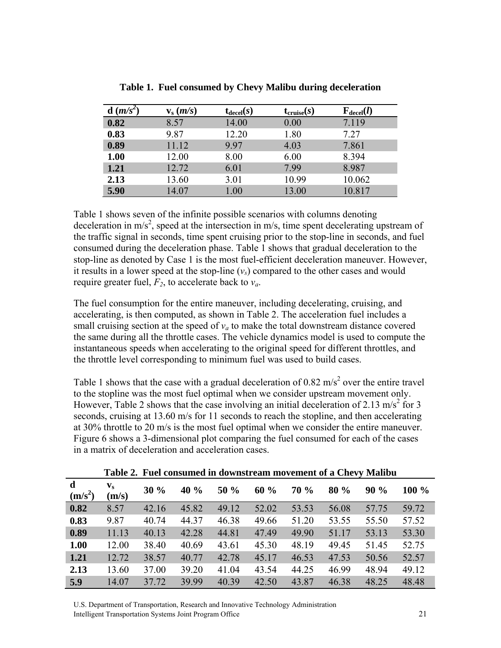| $d(m/s^2)$ | $\mathbf{v}_\mathrm{s}$ ( <i>m/s</i> ) | $t_{\text{decel}}(s)$ | $t_{\text{cruise}}(s)$ | $\mathbf{F}_{\text{decel}}(l)$ |
|------------|----------------------------------------|-----------------------|------------------------|--------------------------------|
| 0.82       | 8.57                                   | 14.00                 | 0.00                   | 7.119                          |
| 0.83       | 9.87                                   | 12.20                 | 1.80                   | 7.27                           |
| 0.89       | 11.12                                  | 9.97                  | 4.03                   | 7.861                          |
| 1.00       | 12.00                                  | 8.00                  | 6.00                   | 8.394                          |
| 1.21       | 12.72                                  | 6.01                  | 7.99                   | 8.987                          |
| 2.13       | 13.60                                  | 3.01                  | 10.99                  | 10.062                         |
| 5.90       | 14.07                                  | 1.00                  | 13.00                  | 10.817                         |

**Table 1. Fuel consumed by Chevy Malibu during deceleration** 

Table 1 shows seven of the infinite possible scenarios with columns denoting deceleration in m/s<sup>2</sup>, speed at the intersection in m/s, time spent decelerating upstream of the traffic signal in seconds, time spent cruising prior to the stop-line in seconds, and fuel consumed during the deceleration phase. Table 1 shows that gradual deceleration to the stop-line as denoted by Case 1 is the most fuel-efficient deceleration maneuver. However, it results in a lower speed at the stop-line  $(v<sub>s</sub>)$  compared to the other cases and would require greater fuel,  $F_2$ , to accelerate back to  $v_a$ .

The fuel consumption for the entire maneuver, including decelerating, cruising, and accelerating, is then computed, as shown in Table 2. The acceleration fuel includes a small cruising section at the speed of  $v_a$  to make the total downstream distance covered the same during all the throttle cases. The vehicle dynamics model is used to compute the instantaneous speeds when accelerating to the original speed for different throttles, and the throttle level corresponding to minimum fuel was used to build cases.

Table 1 shows that the case with a gradual deceleration of 0.82 m/s<sup>2</sup> over the entire travel to the stopline was the most fuel optimal when we consider upstream movement only. However, Table 2 shows that the case involving an initial deceleration of 2.13 m/s<sup>2</sup> for 3 seconds, cruising at 13.60 m/s for 11 seconds to reach the stopline, and then accelerating at 30% throttle to 20 m/s is the most fuel optimal when we consider the entire maneuver. Figure 6 shows a 3-dimensional plot comparing the fuel consumed for each of the cases in a matrix of deceleration and acceleration cases.

|                          |                                  |       |       |       |       | Table 2. Puel consumed in downstream movement of a Chevy Manbu |       |       |       |
|--------------------------|----------------------------------|-------|-------|-------|-------|----------------------------------------------------------------|-------|-------|-------|
| $\mathbf d$<br>$(m/s^2)$ | $\mathbf{v}_\mathbf{s}$<br>(m/s) | 30%   | 40 %  | 50 %  | 60%   | <b>70 %</b>                                                    | 80%   | 90%   | 100 % |
| 0.82                     | 8.57                             | 42.16 | 45.82 | 49.12 | 52.02 | 53.53                                                          | 56.08 | 57.75 | 59.72 |
| 0.83                     | 9.87                             | 40.74 | 44.37 | 46.38 | 49.66 | 51.20                                                          | 53.55 | 55.50 | 57.52 |
| 0.89                     | 11.13                            | 40.13 | 42.28 | 44.81 | 47.49 | 49.90                                                          | 51.17 | 53.13 | 53.30 |
| 1.00                     | 12.00                            | 38.40 | 40.69 | 43.61 | 45.30 | 48.19                                                          | 49.45 | 51.45 | 52.75 |
| 1.21                     | 12.72                            | 38.57 | 40.77 | 42.78 | 45.17 | 46.53                                                          | 47.53 | 50.56 | 52.57 |
| 2.13                     | 13.60                            | 37.00 | 39.20 | 41.04 | 43.54 | 44.25                                                          | 46.99 | 48.94 | 49.12 |
| 5.9                      | 14.07                            | 37.72 | 39.99 | 40.39 | 42.50 | 43.87                                                          | 46.38 | 48.25 | 48.48 |

**Table 2. Fuel consumed in downstream movement of a Chevy Malibu** 

U.S. Department of Transportation, Research and Innovative Technology Administration Intelligent Transportation Systems Joint Program Office 21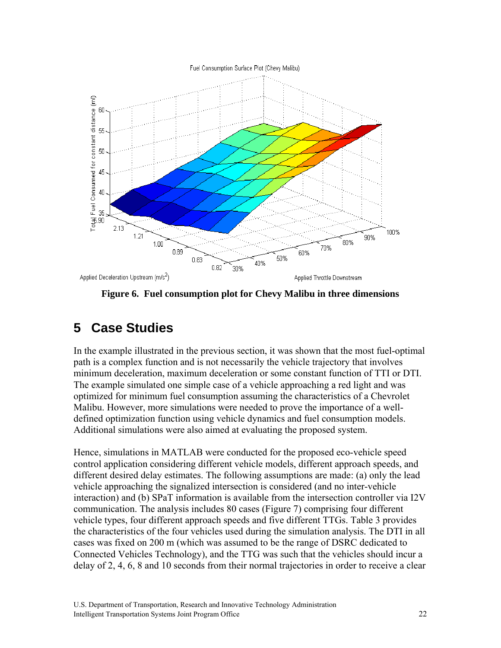Fuel Consumption Surface Plot (Chevy Malibu)



**Figure 6. Fuel consumption plot for Chevy Malibu in three dimensions** 

# **5 Case Studies**

In the example illustrated in the previous section, it was shown that the most fuel-optimal path is a complex function and is not necessarily the vehicle trajectory that involves minimum deceleration, maximum deceleration or some constant function of TTI or DTI. The example simulated one simple case of a vehicle approaching a red light and was optimized for minimum fuel consumption assuming the characteristics of a Chevrolet Malibu. However, more simulations were needed to prove the importance of a welldefined optimization function using vehicle dynamics and fuel consumption models. Additional simulations were also aimed at evaluating the proposed system.

Hence, simulations in MATLAB were conducted for the proposed eco-vehicle speed control application considering different vehicle models, different approach speeds, and different desired delay estimates. The following assumptions are made: (a) only the lead vehicle approaching the signalized intersection is considered (and no inter-vehicle interaction) and (b) SPaT information is available from the intersection controller via I2V communication. The analysis includes 80 cases (Figure 7) comprising four different vehicle types, four different approach speeds and five different TTGs. Table 3 provides the characteristics of the four vehicles used during the simulation analysis. The DTI in all cases was fixed on 200 m (which was assumed to be the range of DSRC dedicated to Connected Vehicles Technology), and the TTG was such that the vehicles should incur a delay of 2, 4, 6, 8 and 10 seconds from their normal trajectories in order to receive a clear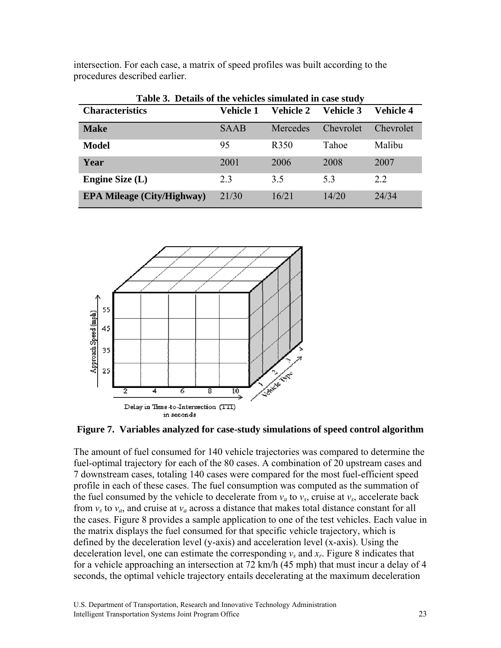| Table 3. Details of the vehicles simulated in case study |             |                  |                  |                  |
|----------------------------------------------------------|-------------|------------------|------------------|------------------|
| <b>Characteristics</b>                                   | Vehicle 1   | Vehicle 2        | <b>Vehicle 3</b> | <b>Vehicle 4</b> |
| <b>Make</b>                                              | <b>SAAB</b> | Mercedes         | <b>Chevrolet</b> | <i>Chevrolet</i> |
| <b>Model</b>                                             | 95          | R <sub>350</sub> | Tahoe            | Malibu           |
| Year                                                     | 2001        | 2006             | 2008             | 2007             |
| Engine Size $(L)$                                        | 23          | 3.5              | 53               | 2.2              |
| <b>EPA Mileage (City/Highway)</b>                        | 21/30       | 16/21            | 14/20            | 24/34            |

intersection. For each case, a matrix of speed profiles was built according to the procedures described earlier.



#### **Figure 7. Variables analyzed for case-study simulations of speed control algorithm**

The amount of fuel consumed for 140 vehicle trajectories was compared to determine the fuel-optimal trajectory for each of the 80 cases. A combination of 20 upstream cases and 7 downstream cases, totaling 140 cases were compared for the most fuel-efficient speed profile in each of these cases. The fuel consumption was computed as the summation of the fuel consumed by the vehicle to decelerate from  $v_a$  to  $v_s$ , cruise at  $v_s$ , accelerate back from  $v_s$  to  $v_a$ , and cruise at  $v_a$  across a distance that makes total distance constant for all the cases. Figure 8 provides a sample application to one of the test vehicles. Each value in the matrix displays the fuel consumed for that specific vehicle trajectory, which is defined by the deceleration level (y-axis) and acceleration level (x-axis). Using the deceleration level, one can estimate the corresponding  $v_s$  and  $x_r$ . Figure 8 indicates that for a vehicle approaching an intersection at 72 km/h (45 mph) that must incur a delay of 4 seconds, the optimal vehicle trajectory entails decelerating at the maximum deceleration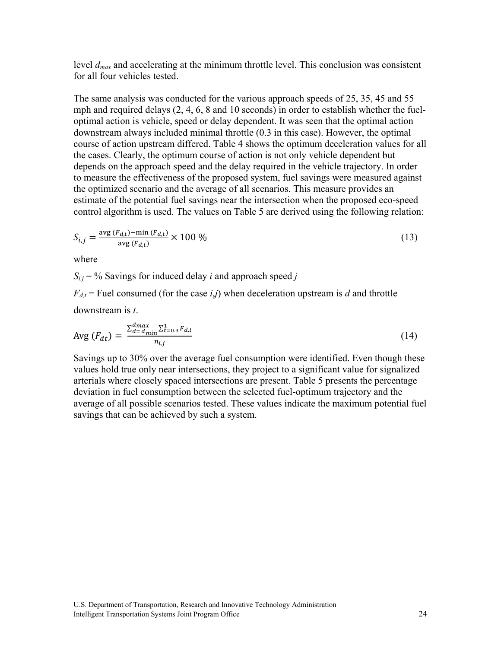level *dmax* and accelerating at the minimum throttle level. This conclusion was consistent for all four vehicles tested.

The same analysis was conducted for the various approach speeds of 25, 35, 45 and 55 mph and required delays (2, 4, 6, 8 and 10 seconds) in order to establish whether the fueloptimal action is vehicle, speed or delay dependent. It was seen that the optimal action downstream always included minimal throttle (0.3 in this case). However, the optimal course of action upstream differed. Table 4 shows the optimum deceleration values for all the cases. Clearly, the optimum course of action is not only vehicle dependent but depends on the approach speed and the delay required in the vehicle trajectory. In order to measure the effectiveness of the proposed system, fuel savings were measured against the optimized scenario and the average of all scenarios. This measure provides an estimate of the potential fuel savings near the intersection when the proposed eco-speed control algorithm is used. The values on Table 5 are derived using the following relation:

$$
S_{i,j} = \frac{\text{avg}(F_{d,t}) - \min(F_{d,t})}{\text{avg}(F_{d,t})} \times 100\,\%
$$
\n(13)

where

 $S_{i,j}$  = % Savings for induced delay *i* and approach speed *j* 

 $F_{d,t}$  = Fuel consumed (for the case *i*,*j*) when deceleration upstream is *d* and throttle

downstream is *t*.

$$
\text{Avg}\left(F_{dt}\right) = \frac{\sum_{d=d_{min}}^{d_{max}} \sum_{t=0.3}^{1} F_{d,t}}{n_{i,j}}\tag{14}
$$

Savings up to 30% over the average fuel consumption were identified. Even though these values hold true only near intersections, they project to a significant value for signalized arterials where closely spaced intersections are present. Table 5 presents the percentage deviation in fuel consumption between the selected fuel-optimum trajectory and the average of all possible scenarios tested. These values indicate the maximum potential fuel savings that can be achieved by such a system.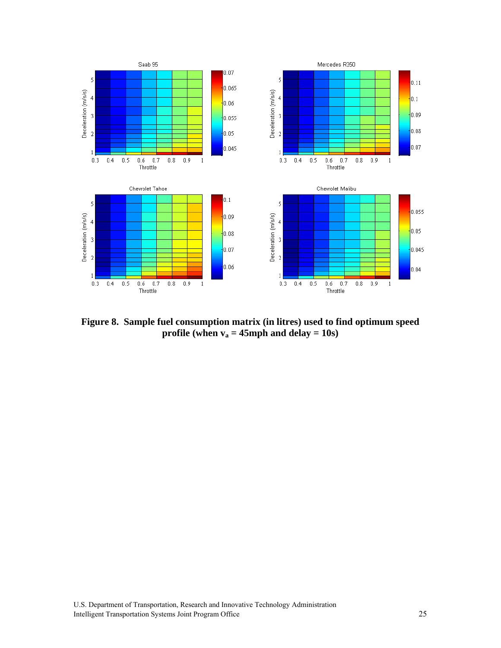

**Figure 8. Sample fuel consumption matrix (in litres) used to find optimum speed profile (when**  $v_a = 45$ **mph and delay = 10s)**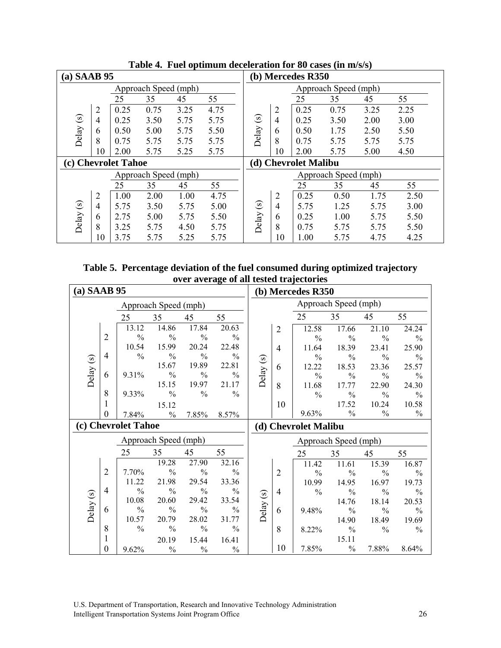| $(a)$ SAAB 95 |                |                     |                      |      |      |         |                | (b) Mercedes R350    |                      |      |      |
|---------------|----------------|---------------------|----------------------|------|------|---------|----------------|----------------------|----------------------|------|------|
|               |                |                     | Approach Speed (mph) |      |      |         |                |                      | Approach Speed (mph) |      |      |
|               |                | 25                  | 35                   | 45   | 55   |         |                | 25                   | 35                   | 45   | 55   |
|               | $\overline{2}$ | 0.25                | 0.75                 | 3.25 | 4.75 |         | $\overline{2}$ | 0.25                 | 0.75                 | 3.25 | 2.25 |
| $\odot$       | 4              | 0.25                | 3.50                 | 5.75 | 5.75 | $\odot$ | $\overline{4}$ | 0.25                 | 3.50                 | 2.00 | 3.00 |
|               | 6              | 0.50                | 5.00                 | 5.75 | 5.50 |         | 6              | 0.50                 | 1.75                 | 2.50 | 5.50 |
| Delay         | 8              | 0.75                | 5.75                 | 5.75 | 5.75 | Delay   | 8              | 0.75                 | 5.75                 | 5.75 | 5.75 |
|               | 10             | 2.00                | 5.75                 | 5.25 | 5.75 |         | 10             | 2.00                 | 5.75                 | 5.00 | 4.50 |
|               |                | (c) Chevrolet Tahoe |                      |      |      |         |                | (d) Chevrolet Malibu |                      |      |      |
|               |                |                     | Approach Speed (mph) |      |      |         |                |                      | Approach Speed (mph) |      |      |
|               |                | 25                  | 35                   | 45   | 55   |         |                | 25                   | 35                   | 45   | 55   |
|               | $\overline{2}$ | 1.00                | 2.00                 | 1.00 | 4.75 |         | $\overline{2}$ | 0.25                 | 0.50                 | 1.75 | 2.50 |
|               |                |                     |                      |      |      | $\odot$ |                |                      |                      |      | 3.00 |
|               | $\overline{4}$ | 5.75                | 3.50                 | 5.75 | 5.00 |         | 4              | 5.75                 | 1.25                 | 5.75 |      |
|               | 6              | 2.75                | 5.00                 | 5.75 | 5.50 |         | 6              | 0.25                 | 1.00                 | 5.75 | 5.50 |
| Delay (s)     | 8              | 3.25                | 5.75                 | 4.50 | 5.75 | Delay   | 8              | 0.75                 | 5.75                 | 5.75 | 5.50 |

**Table 4. Fuel optimum deceleration for 80 cases (in m/s/s)** 

**Table 5. Percentage deviation of the fuel consumed during optimized trajectory over average of all tested trajectories** 

| $(a)$ SAAB 95 |                |                     |                      |               |               |           |                | (b) Mercedes R350      |                        |                        |                        |
|---------------|----------------|---------------------|----------------------|---------------|---------------|-----------|----------------|------------------------|------------------------|------------------------|------------------------|
|               |                |                     | Approach Speed (mph) |               |               |           |                |                        | Approach Speed (mph)   |                        |                        |
|               |                | 25                  | 35                   | 45            | 55            |           |                | 25                     | 35                     | 45                     | 55                     |
|               |                | 13.12               | 14.86                | 17.84         | 20.63         |           | $\overline{2}$ | 12.58                  | 17.66                  | 21.10                  | 24.24                  |
|               | $\overline{2}$ | $\frac{0}{0}$       | $\frac{0}{0}$        | $\frac{0}{0}$ | $\frac{0}{0}$ |           |                | $\frac{0}{0}$          | $\frac{0}{0}$          | $\frac{0}{0}$          | $\frac{0}{0}$          |
|               |                | 10.54               | 15.99                | 20.24         | 22.48         |           | 4              | 11.64                  | 18.39                  | 23.41                  | 25.90                  |
|               | 4              | $\%$                | $\frac{0}{0}$        | $\frac{0}{0}$ | $\frac{0}{0}$ |           |                | $\frac{0}{0}$          | $\%$                   | $\frac{0}{0}$          | $\frac{0}{0}$          |
| Delay (s)     |                |                     | 15.67                | 19.89         | 22.81         | Delay (s) | 6              | 12.22                  | 18.53                  | 23.36                  | 25.57                  |
|               | 6              | 9.31%               | $\frac{0}{0}$        | $\frac{0}{0}$ | $\frac{0}{0}$ |           |                | $\frac{0}{0}$          | $\frac{0}{0}$          | $\frac{0}{0}$          | $\frac{0}{0}$          |
|               |                |                     | 15.15                | 19.97         | 21.17         |           | 8              | 11.68                  | 17.77                  | 22.90                  | 24.30                  |
|               | 8              | 9.33%               | $\frac{0}{0}$        | $\frac{0}{0}$ | $\frac{0}{0}$ |           |                | $\frac{0}{0}$          | $\%$                   | $\frac{0}{0}$          | $\%$                   |
|               | 1              |                     | 15.12                |               |               |           | 10             |                        | 17.52                  | 10.24                  | 10.58                  |
|               | $\Omega$       | 7.84%               | $\frac{0}{0}$        | 7.85%         | 8.57%         |           |                | 9.63%                  | $\frac{0}{0}$          | $\frac{0}{0}$          | $\frac{0}{0}$          |
|               |                |                     |                      |               |               |           |                |                        |                        |                        |                        |
|               |                | (c) Chevrolet Tahoe |                      |               |               |           |                | (d) Chevrolet Malibu   |                        |                        |                        |
|               |                |                     | Approach Speed (mph) |               |               |           |                |                        | Approach Speed (mph)   |                        |                        |
|               |                | 25                  | 35                   | 45            | 55            |           |                | 25                     | 35                     | 45                     | 55                     |
|               |                |                     | 19.28                | 27.90         | 32.16         |           |                |                        |                        |                        |                        |
|               | $\overline{2}$ | 7.70%               | $\frac{0}{0}$        | $\%$          | $\frac{0}{0}$ |           | $\overline{2}$ | 11.42<br>$\frac{0}{0}$ | 11.61<br>$\frac{0}{0}$ | 15.39<br>$\frac{0}{0}$ | 16.87<br>$\frac{0}{0}$ |
|               |                | 11.22               | 21.98                | 29.54         | 33.36         |           |                | 10.99                  | 14.95                  | 16.97                  | 19.73                  |
|               | 4              | $\frac{0}{0}$       | $\frac{0}{0}$        | $\%$          | $\%$          |           | $\overline{4}$ | $\frac{0}{0}$          | $\frac{0}{0}$          | $\frac{0}{0}$          | $\frac{0}{0}$          |
|               |                | 10.08               | 20.60                | 29.42         | 33.54         |           |                |                        | 14.76                  | 18.14                  | 20.53                  |
|               | 6              | $\%$                | $\frac{0}{0}$        | $\%$          | $\%$          |           | 6              | 9.48%                  | $\%$                   | $\frac{0}{0}$          | $\%$                   |
| Delay (s)     |                | 10.57               | 20.79                | 28.02         | 31.77         | Delay (s) |                |                        | 14.90                  | 18.49                  | 19.69                  |
|               | 8              | $\%$                | $\frac{0}{0}$        | $\%$          | $\frac{0}{0}$ |           | 8              | 8.22%                  | $\%$                   | $\frac{0}{0}$          | $\%$                   |
|               | 1              |                     | 20.19                | 15.44         | 16.41         |           |                |                        | 15.11                  |                        |                        |

U.S. Department of Transportation, Research and Innovative Technology Administration Intelligent Transportation Systems Joint Program Office 26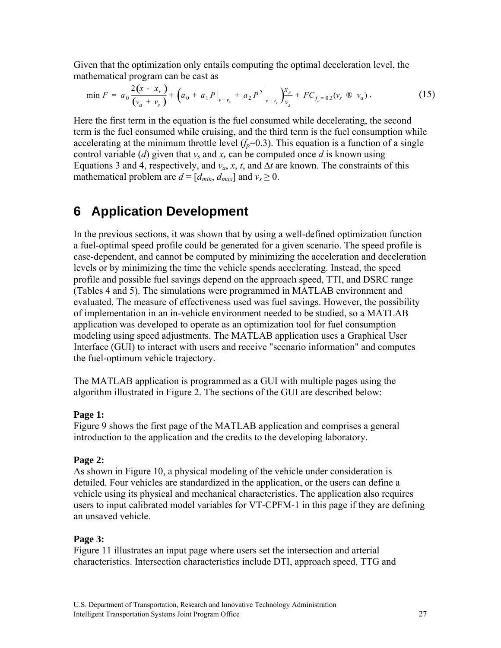Given that the optimization only entails computing the optimal deceleration level, the mathematical program can be cast as

$$
\min F = a_0 \frac{2(x - x_r)}{(v_a + v_s)} + (a_0 + a_1 P|_{v = v_s} + a_2 P^2|_{v = v_s}) \frac{x_r}{v_s} + F C_{f_p = 0.3}(v_s \otimes v_a). \tag{15}
$$

Here the first term in the equation is the fuel consumed while decelerating, the second term is the fuel consumed while cruising, and the third term is the fuel consumption while accelerating at the minimum throttle level  $(f_p=0.3)$ . This equation is a function of a single control variable (*d*) given that  $v_s$  and  $x_r$  can be computed once *d* is known using Equations 3 and 4, respectively, and  $v_a$ , *x*, *t*, and  $\Delta t$  are known. The constraints of this mathematical problem are  $d = [d_{min}, d_{max}]$  and  $v_s \ge 0$ .

## **6 Application Development**

In the previous sections, it was shown that by using a well-defined optimization function a fuel-optimal speed profile could be generated for a given scenario. The speed profile is case-dependent, and cannot be computed by minimizing the acceleration and deceleration levels or by minimizing the time the vehicle spends accelerating. Instead, the speed profile and possible fuel savings depend on the approach speed, TTI, and DSRC range (Tables 4 and 5). The simulations were programmed in MATLAB environment and evaluated. The measure of effectiveness used was fuel savings. However, the possibility of implementation in an in-vehicle environment needed to be studied, so a MATLAB application was developed to operate as an optimization tool for fuel consumption modeling using speed adjustments. The MATLAB application uses a Graphical User Interface (GUI) to interact with users and receive "scenario information" and computes the fuel-optimum vehicle trajectory.

The MATLAB application is programmed as a GUI with multiple pages using the algorithm illustrated in Figure 2. The sections of the GUI are described below:

#### **Page 1:**

Figure 9 shows the first page of the MATLAB application and comprises a general introduction to the application and the credits to the developing laboratory.

#### **Page 2:**

As shown in Figure 10, a physical modeling of the vehicle under consideration is detailed. Four vehicles are standardized in the application, or the users can define a vehicle using its physical and mechanical characteristics. The application also requires users to input calibrated model variables for VT-CPFM-1 in this page if they are defining an unsaved vehicle.

#### **Page 3:**

Figure 11 illustrates an input page where users set the intersection and arterial characteristics. Intersection characteristics include DTI, approach speed, TTG and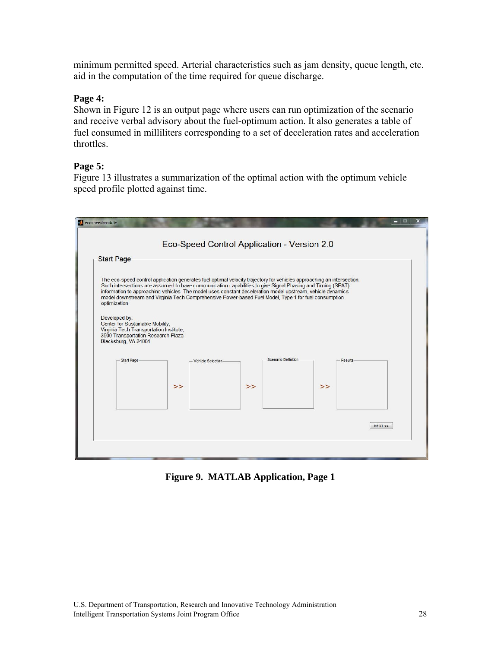minimum permitted speed. Arterial characteristics such as jam density, queue length, etc. aid in the computation of the time required for queue discharge.

#### **Page 4:**

Shown in Figure 12 is an output page where users can run optimization of the scenario and receive verbal advisory about the fuel-optimum action. It also generates a table of fuel consumed in milliliters corresponding to a set of deceleration rates and acceleration throttles.

#### **Page 5:**

Figure 13 illustrates a summarization of the optimal action with the optimum vehicle speed profile plotted against time.

|                                                                                                                   |    |                                                                                                      | The eco-speed control application generates fuel optimal velocity trajectory for vehicles approaching an intersection.<br>Such intersections are assumed to have communication capabilities to give Signal Phasing and Timing (SPAT) |  |
|-------------------------------------------------------------------------------------------------------------------|----|------------------------------------------------------------------------------------------------------|--------------------------------------------------------------------------------------------------------------------------------------------------------------------------------------------------------------------------------------|--|
| optimization.                                                                                                     |    | model downstream and Virginia Tech Comprehensive Power-based Fuel Model, Type 1 for fuel consumption | information to approaching vehicles. The model uses constant deceleration model upstream, vehicle dynamics                                                                                                                           |  |
| Developed by:                                                                                                     |    |                                                                                                      |                                                                                                                                                                                                                                      |  |
| Center for Sustainable Mobility.<br>Virginia Tech Transportation Institute,<br>3500 Transportation Research Plaza |    |                                                                                                      |                                                                                                                                                                                                                                      |  |
| Blacksburg, VA 24061                                                                                              |    |                                                                                                      |                                                                                                                                                                                                                                      |  |
| Start Page                                                                                                        |    | Vehicle Selection                                                                                    | Scenario Definition<br><b>Results</b>                                                                                                                                                                                                |  |
|                                                                                                                   | >> | $\gt$                                                                                                | $\gt$                                                                                                                                                                                                                                |  |
|                                                                                                                   |    |                                                                                                      |                                                                                                                                                                                                                                      |  |
|                                                                                                                   |    |                                                                                                      |                                                                                                                                                                                                                                      |  |

**Figure 9. MATLAB Application, Page 1**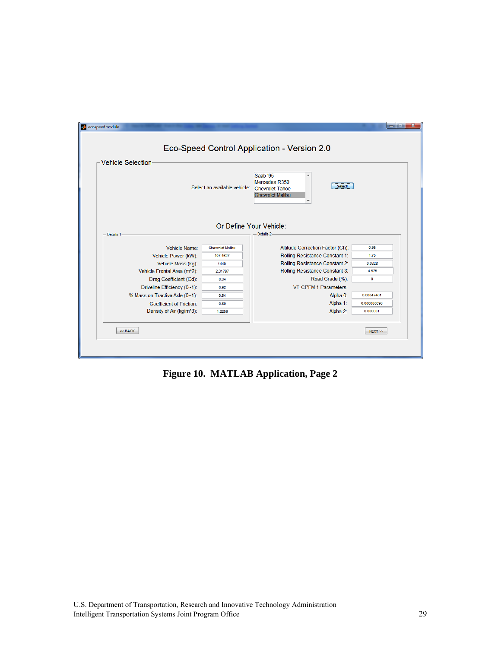

**Figure 10. MATLAB Application, Page 2**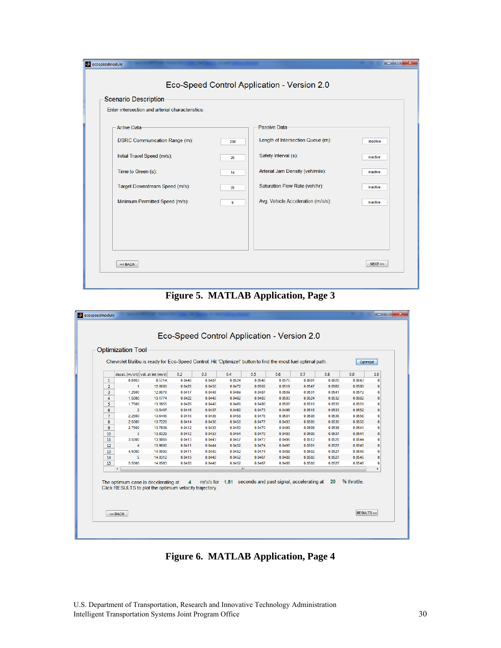| Scenario Description-                            |     |                                    |          |
|--------------------------------------------------|-----|------------------------------------|----------|
| Enter intersection and arterial characteristics: |     |                                    |          |
| Active Data-                                     |     | Passive Data-                      |          |
| DSRC Communication Range (m):                    | 200 | Length of Intersection Queue (m):  | inactive |
| Initial Travel Speed (m/s):                      | 20  | Safety Interval (s):               | inactive |
| Time to Green (s):                               | 14  | Arterial Jam Density (veh/mile):   | inactive |
| Target Downstream Speed (m/s):                   | 20  | Saturation Flow Rate (veh/hr):     | inactive |
| Minimum Permitted Speed (m/s):                   | 5   | Avg. Vehicle Acceleration (m/s/s): | inactive |
|                                                  |     |                                    |          |
|                                                  |     |                                    |          |
|                                                  |     |                                    |          |

**Figure 5. MATLAB Application, Page 3** 

|                | decel. (m/s/s) vel. at int (m/s)                                                              |         | 0.2            | 0.3    | 0.4    | 0.5    | 0.6    | 0.7                                                     | 0.8    | 0.9         | 1.0          |
|----------------|-----------------------------------------------------------------------------------------------|---------|----------------|--------|--------|--------|--------|---------------------------------------------------------|--------|-------------|--------------|
| 1              | 0.8163                                                                                        | 8.5714  | 0.0446         | 0.0487 | 0.0524 | 0.0546 | 0.0575 | 0.0601                                                  | 0.0626 | 0.0643      | $\Omega$     |
| $\overline{2}$ | $\mathbf{1}$                                                                                  | 12.0000 | 0.0422         | 0.0450 | 0.0472 | 0.0502 | 0.0519 | 0.0547                                                  | 0.0560 | 0.0580      | 0            |
| 3              | 1.2500                                                                                        | 12,8078 | 0.0417         | 0.0448 | 0.0469 | 0.0487 | 0.0509 | 0.0531                                                  | 0.0541 | 0.0572      | 0            |
| $\overline{4}$ | 1.5000                                                                                        | 13.1774 | 0.0422         | 0.0440 | 0.0462 | 0.0483 | 0.0503 | 0.0524                                                  | 0.0532 | 0.0562      | $\mathbf{0}$ |
| 5              | 1.7500                                                                                        | 13.3955 | 0.0420         | 0.0440 | 0.0460 | 0.0480 | 0.0507 | 0.0516                                                  | 0.0535 | 0.0551      | 0.           |
| 6              | $\overline{2}$                                                                                | 13.5407 | 0.0416         | 0.0437 | 0.0460 | 0.0473 | 0.0498 | 0.0516                                                  | 0.0533 | 0.0552      | 0            |
| $\overline{7}$ | 2.2500                                                                                        | 13,6446 | 0.0416         | 0.0436 | 0.0458 | 0.0476 | 0.0501 | 0.0508                                                  | 0.0536 | 0.0556      | $\mathbf{0}$ |
| 8              | 2.5000                                                                                        | 13.7228 | 0.0414         | 0.0436 | 0.0458 | 0.0477 | 0.0493 | 0.0509                                                  | 0.0536 | 0.0556      | $\bf{0}$     |
| 9              | 2.7500                                                                                        | 13.7839 | 0.0412         | 0.0433 | 0.0453 | 0.0470 | 0.0493 | 0.0509                                                  | 0.0536 | 0.0541      | $\bf{0}$     |
| 10             | 3                                                                                             | 13.8329 | 0.0412         | 0.0433 | 0.0454 | 0.0470 | 0.0493 | 0.0509                                                  | 0.0537 | 0.0541      | 0            |
| 11             | 3.5000                                                                                        | 13.9069 | 0.0413         | 0.0443 | 0.0457 | 0.0473 | 0.0496 | 0.0512                                                  | 0.0526 | 0.0544      | 0.           |
| 12             | 4                                                                                             | 13.9600 | 0.0411         | 0.0444 | 0.0452 | 0.0474 | 0.0497 | 0.0501                                                  | 0.0527 | 0.0545      | $\bf{0}$     |
| 13             | 4.5000                                                                                        | 14.0000 | 0.0411         | 0.0440 | 0.0452 | 0.0474 | 0.0488 | 0.0502                                                  | 0.0527 | 0.0545      | 0.           |
| 14             | 5                                                                                             | 14.0312 | 0.0419         | 0.0440 | 0.0452 | 0.0467 | 0.0488 | 0.0502                                                  | 0.0527 | 0.0545      | 0            |
| 15             | 5.5000                                                                                        | 14.0563 | 0.0420         | 0.0440 | 0.0452 | 0.0467 | 0.0488 | 0.0502                                                  | 0.0527 | 0.0546      | 0.           |
|                | $\overline{ }$                                                                                |         |                |        | ш      |        |        |                                                         |        |             |              |
|                | The optimum case is decelerating at<br>Click RESULTS to plot the optimum velocity trajectory. |         | $\overline{4}$ |        |        |        |        | m/s/s for 1.51 seconds and past signal, accelerating at | 20     | % throttle. |              |

**Figure 6. MATLAB Application, Page 4**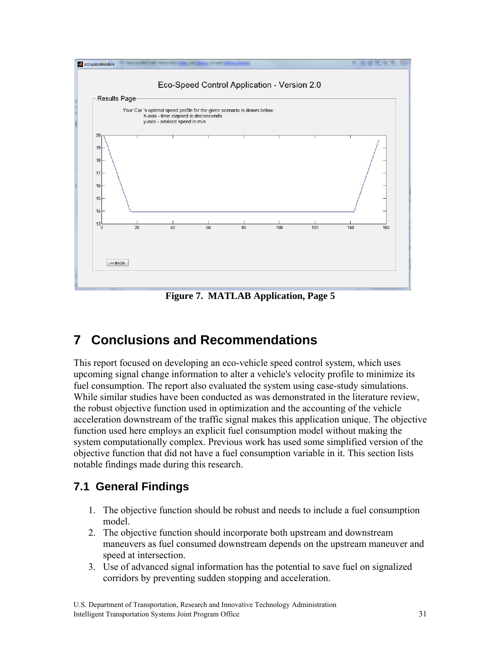

**Figure 7. MATLAB Application, Page 5** 

# **7 Conclusions and Recommendations**

This report focused on developing an eco-vehicle speed control system, which uses upcoming signal change information to alter a vehicle's velocity profile to minimize its fuel consumption. The report also evaluated the system using case-study simulations. While similar studies have been conducted as was demonstrated in the literature review, the robust objective function used in optimization and the accounting of the vehicle acceleration downstream of the traffic signal makes this application unique. The objective function used here employs an explicit fuel consumption model without making the system computationally complex. Previous work has used some simplified version of the objective function that did not have a fuel consumption variable in it. This section lists notable findings made during this research.

## **7.1 General Findings**

- 1. The objective function should be robust and needs to include a fuel consumption model.
- 2. The objective function should incorporate both upstream and downstream maneuvers as fuel consumed downstream depends on the upstream maneuver and speed at intersection.
- 3. Use of advanced signal information has the potential to save fuel on signalized corridors by preventing sudden stopping and acceleration.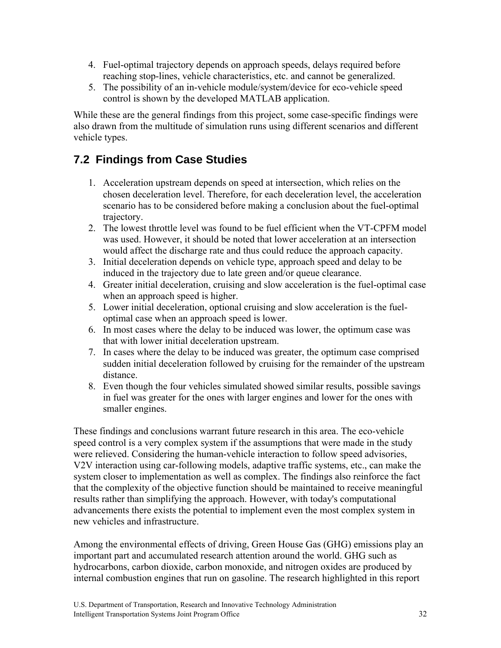- 4. Fuel-optimal trajectory depends on approach speeds, delays required before reaching stop-lines, vehicle characteristics, etc. and cannot be generalized.
- 5. The possibility of an in-vehicle module/system/device for eco-vehicle speed control is shown by the developed MATLAB application.

While these are the general findings from this project, some case-specific findings were also drawn from the multitude of simulation runs using different scenarios and different vehicle types.

## **7.2 Findings from Case Studies**

- 1. Acceleration upstream depends on speed at intersection, which relies on the chosen deceleration level. Therefore, for each deceleration level, the acceleration scenario has to be considered before making a conclusion about the fuel-optimal trajectory.
- 2. The lowest throttle level was found to be fuel efficient when the VT-CPFM model was used. However, it should be noted that lower acceleration at an intersection would affect the discharge rate and thus could reduce the approach capacity.
- 3. Initial deceleration depends on vehicle type, approach speed and delay to be induced in the trajectory due to late green and/or queue clearance.
- 4. Greater initial deceleration, cruising and slow acceleration is the fuel-optimal case when an approach speed is higher.
- 5. Lower initial deceleration, optional cruising and slow acceleration is the fueloptimal case when an approach speed is lower.
- 6. In most cases where the delay to be induced was lower, the optimum case was that with lower initial deceleration upstream.
- 7. In cases where the delay to be induced was greater, the optimum case comprised sudden initial deceleration followed by cruising for the remainder of the upstream distance.
- 8. Even though the four vehicles simulated showed similar results, possible savings in fuel was greater for the ones with larger engines and lower for the ones with smaller engines.

These findings and conclusions warrant future research in this area. The eco-vehicle speed control is a very complex system if the assumptions that were made in the study were relieved. Considering the human-vehicle interaction to follow speed advisories, V2V interaction using car-following models, adaptive traffic systems, etc., can make the system closer to implementation as well as complex. The findings also reinforce the fact that the complexity of the objective function should be maintained to receive meaningful results rather than simplifying the approach. However, with today's computational advancements there exists the potential to implement even the most complex system in new vehicles and infrastructure.

Among the environmental effects of driving, Green House Gas (GHG) emissions play an important part and accumulated research attention around the world. GHG such as hydrocarbons, carbon dioxide, carbon monoxide, and nitrogen oxides are produced by internal combustion engines that run on gasoline. The research highlighted in this report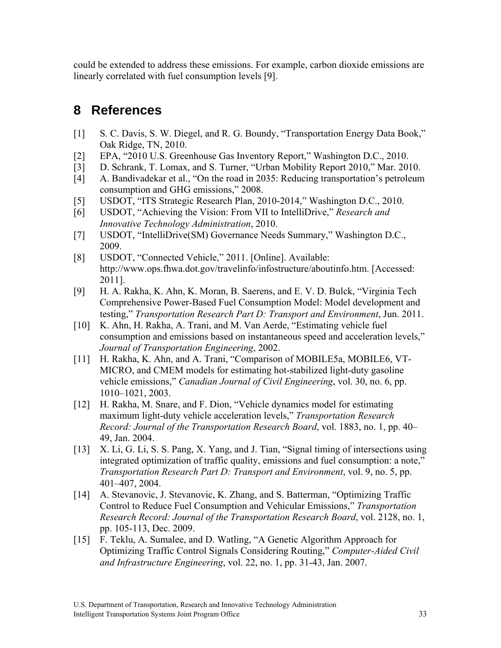could be extended to address these emissions. For example, carbon dioxide emissions are linearly correlated with fuel consumption levels [9].

## **8 References**

- [1] S. C. Davis, S. W. Diegel, and R. G. Boundy, "Transportation Energy Data Book," Oak Ridge, TN, 2010.
- [2] EPA, "2010 U.S. Greenhouse Gas Inventory Report," Washington D.C., 2010.
- [3] D. Schrank, T. Lomax, and S. Turner, "Urban Mobility Report 2010," Mar. 2010.
- [4] A. Bandivadekar et al., "On the road in 2035: Reducing transportation's petroleum consumption and GHG emissions," 2008.
- [5] USDOT, "ITS Strategic Research Plan, 2010-2014," Washington D.C., 2010.
- [6] USDOT, "Achieving the Vision: From VII to IntelliDrive," *Research and Innovative Technology Administration*, 2010.
- [7] USDOT, "IntelliDrive(SM) Governance Needs Summary," Washington D.C., 2009.
- [8] USDOT, "Connected Vehicle," 2011. [Online]. Available: http://www.ops.fhwa.dot.gov/travelinfo/infostructure/aboutinfo.htm. [Accessed: 2011].
- [9] H. A. Rakha, K. Ahn, K. Moran, B. Saerens, and E. V. D. Bulck, "Virginia Tech Comprehensive Power-Based Fuel Consumption Model: Model development and testing," *Transportation Research Part D: Transport and Environment*, Jun. 2011.
- [10] K. Ahn, H. Rakha, A. Trani, and M. Van Aerde, "Estimating vehicle fuel consumption and emissions based on instantaneous speed and acceleration levels," *Journal of Transportation Engineering*, 2002.
- [11] H. Rakha, K. Ahn, and A. Trani, "Comparison of MOBILE5a, MOBILE6, VT-MICRO, and CMEM models for estimating hot-stabilized light-duty gasoline vehicle emissions," *Canadian Journal of Civil Engineering*, vol. 30, no. 6, pp. 1010–1021, 2003.
- [12] H. Rakha, M. Snare, and F. Dion, "Vehicle dynamics model for estimating maximum light-duty vehicle acceleration levels," *Transportation Research Record: Journal of the Transportation Research Board*, vol. 1883, no. 1, pp. 40– 49, Jan. 2004.
- [13] X. Li, G. Li, S. S. Pang, X. Yang, and J. Tian, "Signal timing of intersections using integrated optimization of traffic quality, emissions and fuel consumption: a note," *Transportation Research Part D: Transport and Environment*, vol. 9, no. 5, pp. 401–407, 2004.
- [14] A. Stevanovic, J. Stevanovic, K. Zhang, and S. Batterman, "Optimizing Traffic Control to Reduce Fuel Consumption and Vehicular Emissions," *Transportation Research Record: Journal of the Transportation Research Board*, vol. 2128, no. 1, pp. 105-113, Dec. 2009.
- [15] F. Teklu, A. Sumalee, and D. Watling, "A Genetic Algorithm Approach for Optimizing Traffic Control Signals Considering Routing," *Computer-Aided Civil and Infrastructure Engineering*, vol. 22, no. 1, pp. 31-43, Jan. 2007.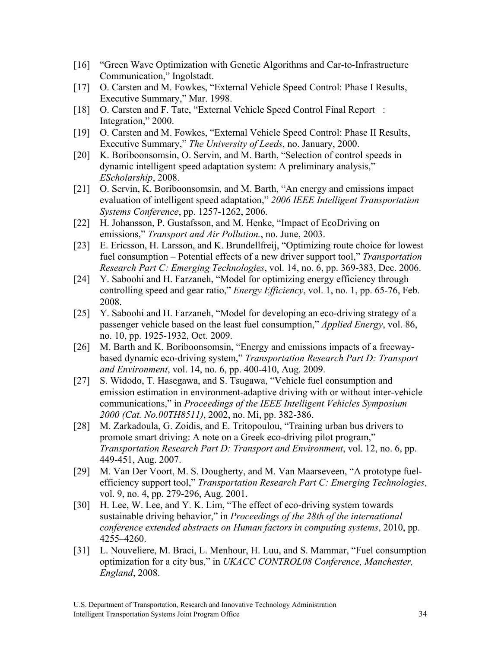- [16] "Green Wave Optimization with Genetic Algorithms and Car-to-Infrastructure Communication," Ingolstadt.
- [17] O. Carsten and M. Fowkes, "External Vehicle Speed Control: Phase I Results, Executive Summary," Mar. 1998.
- [18] O. Carsten and F. Tate, "External Vehicle Speed Control Final Report: Integration," 2000.
- [19] O. Carsten and M. Fowkes, "External Vehicle Speed Control: Phase II Results, Executive Summary," *The University of Leeds*, no. January, 2000.
- [20] K. Boriboonsomsin, O. Servin, and M. Barth, "Selection of control speeds in dynamic intelligent speed adaptation system: A preliminary analysis," *EScholarship*, 2008.
- [21] O. Servin, K. Boriboonsomsin, and M. Barth, "An energy and emissions impact evaluation of intelligent speed adaptation," *2006 IEEE Intelligent Transportation Systems Conference*, pp. 1257-1262, 2006.
- [22] H. Johansson, P. Gustafsson, and M. Henke, "Impact of EcoDriving on emissions," *Transport and Air Pollution.*, no. June, 2003.
- [23] E. Ericsson, H. Larsson, and K. Brundellfreij, "Optimizing route choice for lowest fuel consumption – Potential effects of a new driver support tool," *Transportation Research Part C: Emerging Technologies*, vol. 14, no. 6, pp. 369-383, Dec. 2006.
- [24] Y. Saboohi and H. Farzaneh, "Model for optimizing energy efficiency through controlling speed and gear ratio," *Energy Efficiency*, vol. 1, no. 1, pp. 65-76, Feb. 2008.
- [25] Y. Saboohi and H. Farzaneh, "Model for developing an eco-driving strategy of a passenger vehicle based on the least fuel consumption," *Applied Energy*, vol. 86, no. 10, pp. 1925-1932, Oct. 2009.
- [26] M. Barth and K. Boriboonsomsin, "Energy and emissions impacts of a freewaybased dynamic eco-driving system," *Transportation Research Part D: Transport and Environment*, vol. 14, no. 6, pp. 400-410, Aug. 2009.
- [27] S. Widodo, T. Hasegawa, and S. Tsugawa, "Vehicle fuel consumption and emission estimation in environment-adaptive driving with or without inter-vehicle communications," in *Proceedings of the IEEE Intelligent Vehicles Symposium 2000 (Cat. No.00TH8511)*, 2002, no. Mi, pp. 382-386.
- [28] M. Zarkadoula, G. Zoidis, and E. Tritopoulou, "Training urban bus drivers to promote smart driving: A note on a Greek eco-driving pilot program," *Transportation Research Part D: Transport and Environment*, vol. 12, no. 6, pp. 449-451, Aug. 2007.
- [29] M. Van Der Voort, M. S. Dougherty, and M. Van Maarseveen, "A prototype fuelefficiency support tool," *Transportation Research Part C: Emerging Technologies*, vol. 9, no. 4, pp. 279-296, Aug. 2001.
- [30] H. Lee, W. Lee, and Y. K. Lim, "The effect of eco-driving system towards sustainable driving behavior," in *Proceedings of the 28th of the international conference extended abstracts on Human factors in computing systems*, 2010, pp. 4255–4260.
- [31] L. Nouveliere, M. Braci, L. Menhour, H. Luu, and S. Mammar, "Fuel consumption optimization for a city bus," in *UKACC CONTROL08 Conference, Manchester, England*, 2008.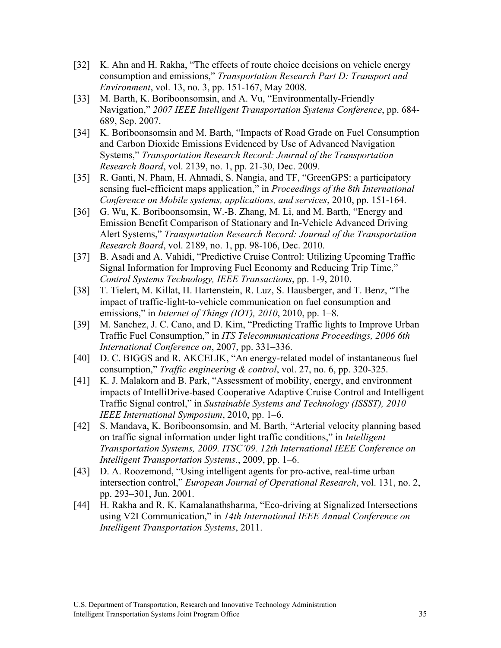- [32] K. Ahn and H. Rakha, "The effects of route choice decisions on vehicle energy consumption and emissions," *Transportation Research Part D: Transport and Environment*, vol. 13, no. 3, pp. 151-167, May 2008.
- [33] M. Barth, K. Boriboonsomsin, and A. Vu, "Environmentally-Friendly Navigation," *2007 IEEE Intelligent Transportation Systems Conference*, pp. 684- 689, Sep. 2007.
- [34] K. Boriboonsomsin and M. Barth, "Impacts of Road Grade on Fuel Consumption and Carbon Dioxide Emissions Evidenced by Use of Advanced Navigation Systems," *Transportation Research Record: Journal of the Transportation Research Board*, vol. 2139, no. 1, pp. 21-30, Dec. 2009.
- [35] R. Ganti, N. Pham, H. Ahmadi, S. Nangia, and TF, "GreenGPS: a participatory sensing fuel-efficient maps application," in *Proceedings of the 8th International Conference on Mobile systems, applications, and services*, 2010, pp. 151-164.
- [36] G. Wu, K. Boriboonsomsin, W.-B. Zhang, M. Li, and M. Barth, "Energy and Emission Benefit Comparison of Stationary and In-Vehicle Advanced Driving Alert Systems," *Transportation Research Record: Journal of the Transportation Research Board*, vol. 2189, no. 1, pp. 98-106, Dec. 2010.
- [37] B. Asadi and A. Vahidi, "Predictive Cruise Control: Utilizing Upcoming Traffic Signal Information for Improving Fuel Economy and Reducing Trip Time," *Control Systems Technology, IEEE Transactions*, pp. 1-9, 2010.
- [38] T. Tielert, M. Killat, H. Hartenstein, R. Luz, S. Hausberger, and T. Benz, "The impact of traffic-light-to-vehicle communication on fuel consumption and emissions," in *Internet of Things (IOT), 2010*, 2010, pp. 1–8.
- [39] M. Sanchez, J. C. Cano, and D. Kim, "Predicting Traffic lights to Improve Urban Traffic Fuel Consumption," in *ITS Telecommunications Proceedings, 2006 6th International Conference on*, 2007, pp. 331–336.
- [40] D. C. BIGGS and R. AKCELIK, "An energy-related model of instantaneous fuel consumption," *Traffic engineering & control*, vol. 27, no. 6, pp. 320-325.
- [41] K. J. Malakorn and B. Park, "Assessment of mobility, energy, and environment impacts of IntelliDrive-based Cooperative Adaptive Cruise Control and Intelligent Traffic Signal control," in *Sustainable Systems and Technology (ISSST), 2010 IEEE International Symposium*, 2010, pp. 1–6.
- [42] S. Mandava, K. Boriboonsomsin, and M. Barth, "Arterial velocity planning based on traffic signal information under light traffic conditions," in *Intelligent Transportation Systems, 2009. ITSC'09. 12th International IEEE Conference on Intelligent Transportation Systems.*, 2009, pp. 1–6.
- [43] D. A. Roozemond, "Using intelligent agents for pro-active, real-time urban intersection control," *European Journal of Operational Research*, vol. 131, no. 2, pp. 293–301, Jun. 2001.
- [44] H. Rakha and R. K. Kamalanathsharma, "Eco-driving at Signalized Intersections using V2I Communication," in *14th International IEEE Annual Conference on Intelligent Transportation Systems*, 2011.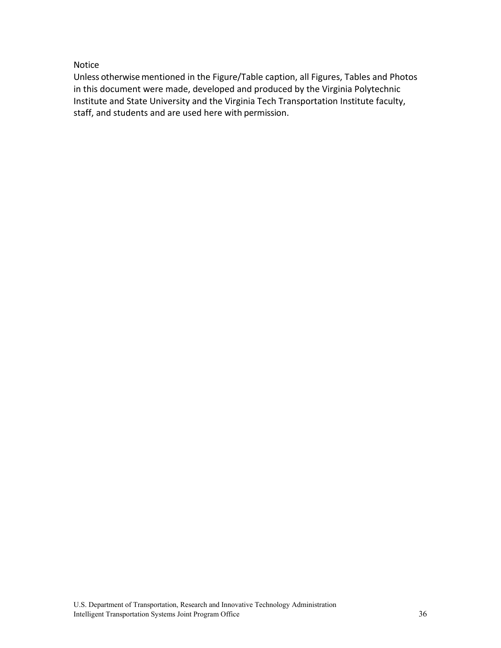#### Notice

Unless otherwise mentioned in the Figure/Table caption, all Figures, Tables and Photos in this document were made, developed and produced by the Virginia Polytechnic Institute and State University and the Virginia Tech Transportation Institute faculty, staff, and students and are used here with permission.